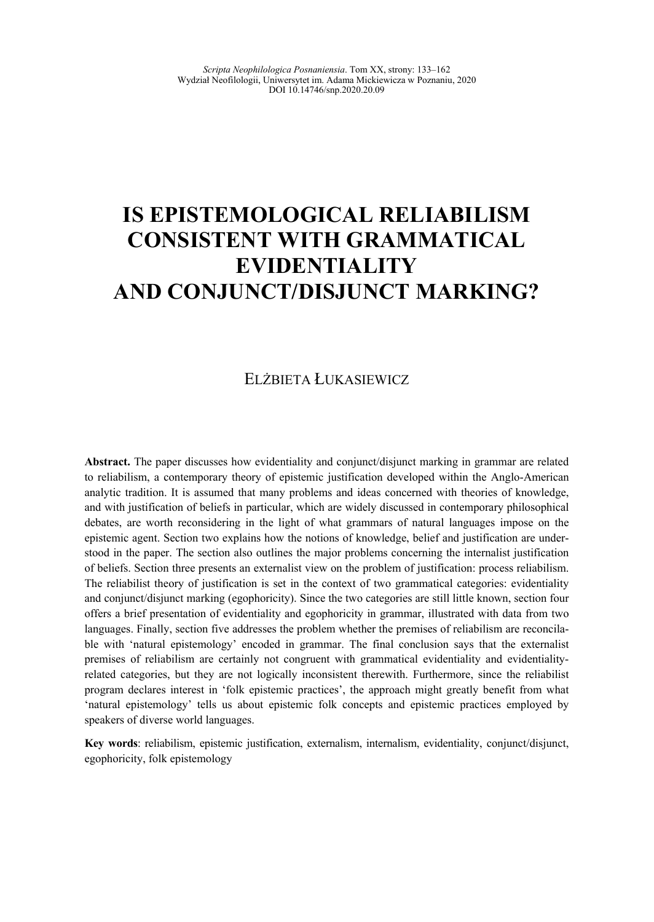# **IS EPISTEMOLOGICAL RELIABILISM CONSISTENT WITH GRAMMATICAL EVIDENTIALITY AND CONJUNCT/DISJUNCT MARKING?**

#### ELŻBIETA ŁUKASIEWICZ

**Abstract.** The paper discusses how evidentiality and conjunct/disjunct marking in grammar are related to reliabilism, a contemporary theory of epistemic justification developed within the Anglo-American analytic tradition. It is assumed that many problems and ideas concerned with theories of knowledge, and with justification of beliefs in particular, which are widely discussed in contemporary philosophical debates, are worth reconsidering in the light of what grammars of natural languages impose on the epistemic agent. Section two explains how the notions of knowledge, belief and justification are understood in the paper. The section also outlines the major problems concerning the internalist justification of beliefs. Section three presents an externalist view on the problem of justification: process reliabilism. The reliabilist theory of justification is set in the context of two grammatical categories: evidentiality and conjunct/disjunct marking (egophoricity). Since the two categories are still little known, section four offers a brief presentation of evidentiality and egophoricity in grammar, illustrated with data from two languages. Finally, section five addresses the problem whether the premises of reliabilism are reconcilable with 'natural epistemology' encoded in grammar. The final conclusion says that the externalist premises of reliabilism are certainly not congruent with grammatical evidentiality and evidentialityrelated categories, but they are not logically inconsistent therewith. Furthermore, since the reliabilist program declares interest in 'folk epistemic practices', the approach might greatly benefit from what 'natural epistemology' tells us about epistemic folk concepts and epistemic practices employed by speakers of diverse world languages.

**Key words**: reliabilism, epistemic justification, externalism, internalism, evidentiality, conjunct/disjunct, egophoricity, folk epistemology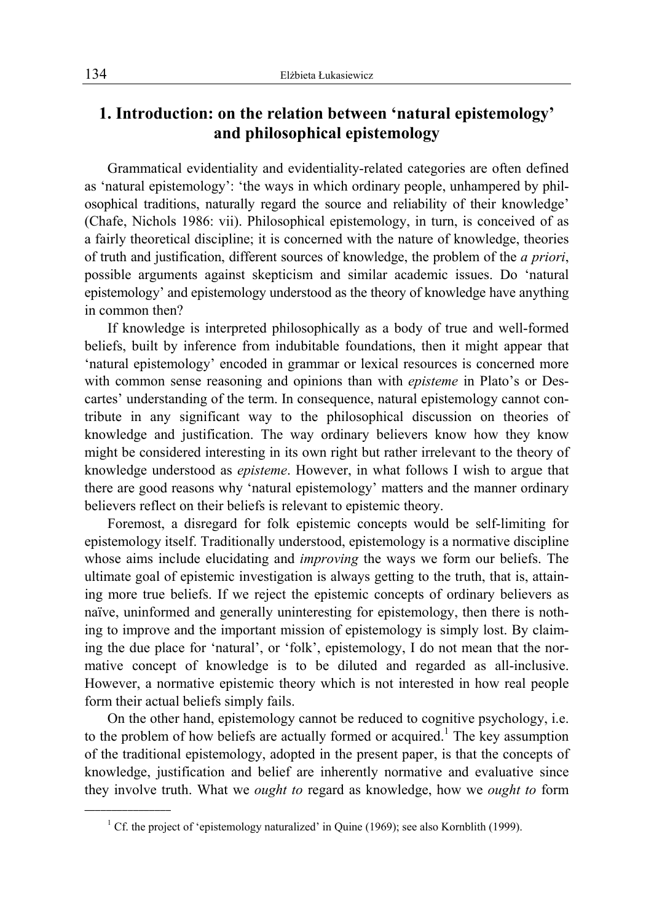# **1. Introduction: on the relation between 'natural epistemology' and philosophical epistemology**

Grammatical evidentiality and evidentiality-related categories are often defined as 'natural epistemology': 'the ways in which ordinary people, unhampered by philosophical traditions, naturally regard the source and reliability of their knowledge' (Chafe, Nichols 1986: vii). Philosophical epistemology, in turn, is conceived of as a fairly theoretical discipline; it is concerned with the nature of knowledge, theories of truth and justification, different sources of knowledge, the problem of the *a priori*, possible arguments against skepticism and similar academic issues. Do 'natural epistemology' and epistemology understood as the theory of knowledge have anything in common then?

If knowledge is interpreted philosophically as a body of true and well-formed beliefs, built by inference from indubitable foundations, then it might appear that 'natural epistemology' encoded in grammar or lexical resources is concerned more with common sense reasoning and opinions than with *episteme* in Plato's or Descartes' understanding of the term. In consequence, natural epistemology cannot contribute in any significant way to the philosophical discussion on theories of knowledge and justification. The way ordinary believers know how they know might be considered interesting in its own right but rather irrelevant to the theory of knowledge understood as *episteme*. However, in what follows I wish to argue that there are good reasons why 'natural epistemology' matters and the manner ordinary believers reflect on their beliefs is relevant to epistemic theory.

Foremost, a disregard for folk epistemic concepts would be self-limiting for epistemology itself. Traditionally understood, epistemology is a normative discipline whose aims include elucidating and *improving* the ways we form our beliefs. The ultimate goal of epistemic investigation is always getting to the truth, that is, attaining more true beliefs. If we reject the epistemic concepts of ordinary believers as naïve, uninformed and generally uninteresting for epistemology, then there is nothing to improve and the important mission of epistemology is simply lost. By claiming the due place for 'natural', or 'folk', epistemology, I do not mean that the normative concept of knowledge is to be diluted and regarded as all-inclusive. However, a normative epistemic theory which is not interested in how real people form their actual beliefs simply fails.

On the other hand, epistemology cannot be reduced to cognitive psychology, i.e. to the problem of how beliefs are actually formed or acquired.<sup>1</sup> The key assumption of the traditional epistemology, adopted in the present paper, is that the concepts of knowledge, justification and belief are inherently normative and evaluative since they involve truth. What we *ought to* regard as knowledge, how we *ought to* form

<sup>&</sup>lt;sup>1</sup> Cf. the project of 'epistemology naturalized' in Quine (1969); see also Kornblith (1999).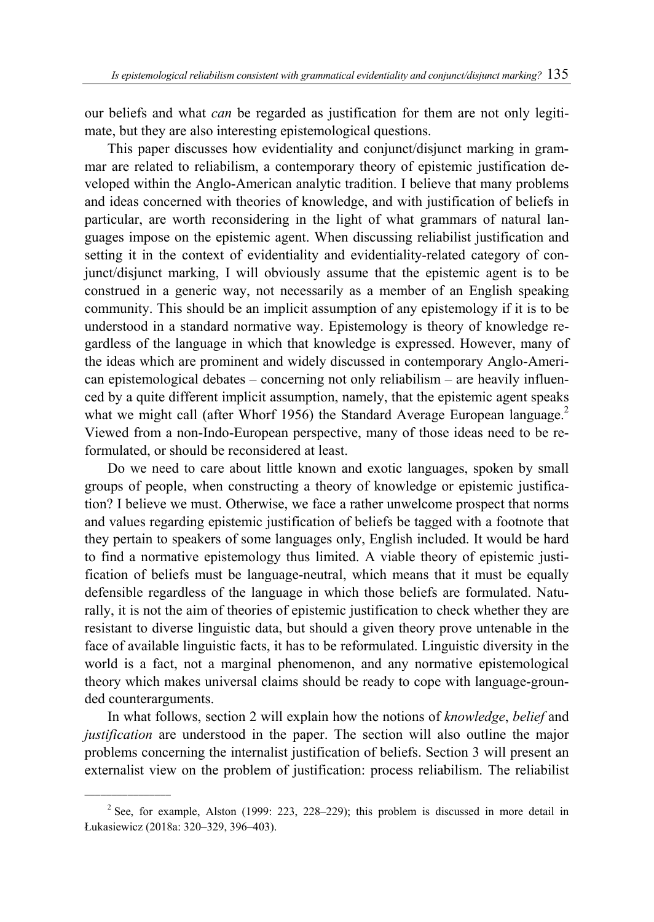our beliefs and what *can* be regarded as justification for them are not only legitimate, but they are also interesting epistemological questions.

This paper discusses how evidentiality and conjunct/disjunct marking in grammar are related to reliabilism, a contemporary theory of epistemic justification developed within the Anglo-American analytic tradition. I believe that many problems and ideas concerned with theories of knowledge, and with justification of beliefs in particular, are worth reconsidering in the light of what grammars of natural languages impose on the epistemic agent. When discussing reliabilist justification and setting it in the context of evidentiality and evidentiality-related category of conjunct/disjunct marking, I will obviously assume that the epistemic agent is to be construed in a generic way, not necessarily as a member of an English speaking community. This should be an implicit assumption of any epistemology if it is to be understood in a standard normative way. Epistemology is theory of knowledge regardless of the language in which that knowledge is expressed. However, many of the ideas which are prominent and widely discussed in contemporary Anglo-American epistemological debates – concerning not only reliabilism – are heavily influenced by a quite different implicit assumption, namely, that the epistemic agent speaks what we might call (after Whorf 1956) the Standard Average European language.<sup>2</sup> Viewed from a non-Indo-European perspective, many of those ideas need to be reformulated, or should be reconsidered at least.

Do we need to care about little known and exotic languages, spoken by small groups of people, when constructing a theory of knowledge or epistemic justification? I believe we must. Otherwise, we face a rather unwelcome prospect that norms and values regarding epistemic justification of beliefs be tagged with a footnote that they pertain to speakers of some languages only, English included. It would be hard to find a normative epistemology thus limited. A viable theory of epistemic justification of beliefs must be language-neutral, which means that it must be equally defensible regardless of the language in which those beliefs are formulated. Naturally, it is not the aim of theories of epistemic justification to check whether they are resistant to diverse linguistic data, but should a given theory prove untenable in the face of available linguistic facts, it has to be reformulated. Linguistic diversity in the world is a fact, not a marginal phenomenon, and any normative epistemological theory which makes universal claims should be ready to cope with language-grounded counterarguments.

In what follows, section 2 will explain how the notions of *knowledge*, *belief* and *justification* are understood in the paper. The section will also outline the major problems concerning the internalist justification of beliefs. Section 3 will present an externalist view on the problem of justification: process reliabilism. The reliabilist

<sup>&</sup>lt;sup>2</sup> See, for example, Alston (1999: 223, 228–229); this problem is discussed in more detail in Łukasiewicz (2018a: 320–329, 396–403).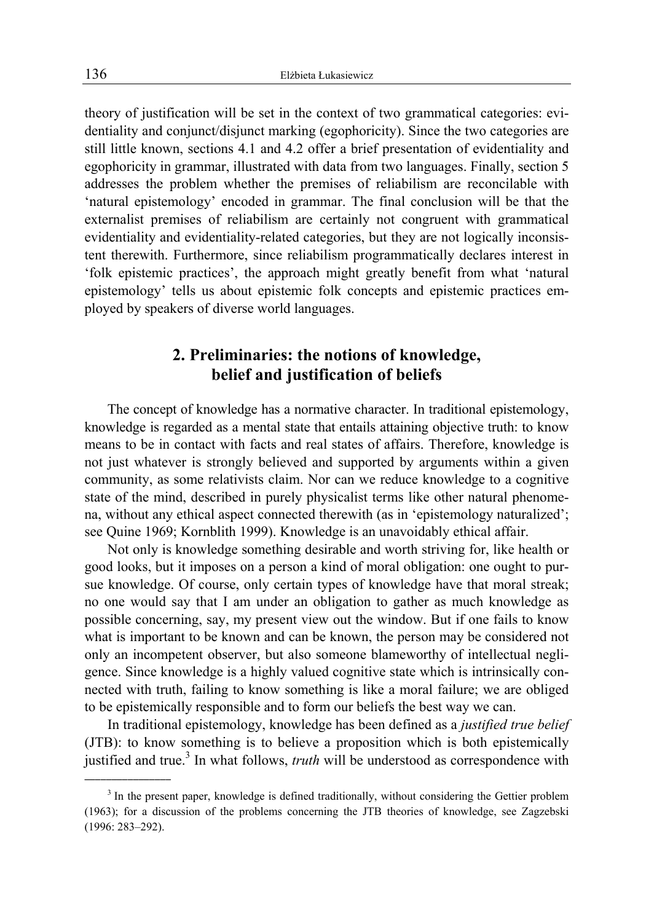theory of justification will be set in the context of two grammatical categories: evidentiality and conjunct/disjunct marking (egophoricity). Since the two categories are still little known, sections 4.1 and 4.2 offer a brief presentation of evidentiality and egophoricity in grammar, illustrated with data from two languages. Finally, section 5 addresses the problem whether the premises of reliabilism are reconcilable with 'natural epistemology' encoded in grammar. The final conclusion will be that the externalist premises of reliabilism are certainly not congruent with grammatical evidentiality and evidentiality-related categories, but they are not logically inconsistent therewith. Furthermore, since reliabilism programmatically declares interest in 'folk epistemic practices', the approach might greatly benefit from what 'natural epistemology' tells us about epistemic folk concepts and epistemic practices employed by speakers of diverse world languages.

### **2. Preliminaries: the notions of knowledge, belief and justification of beliefs**

The concept of knowledge has a normative character. In traditional epistemology, knowledge is regarded as a mental state that entails attaining objective truth: to know means to be in contact with facts and real states of affairs. Therefore, knowledge is not just whatever is strongly believed and supported by arguments within a given community, as some relativists claim. Nor can we reduce knowledge to a cognitive state of the mind, described in purely physicalist terms like other natural phenomena, without any ethical aspect connected therewith (as in 'epistemology naturalized'; see Quine 1969; Kornblith 1999). Knowledge is an unavoidably ethical affair.

Not only is knowledge something desirable and worth striving for, like health or good looks, but it imposes on a person a kind of moral obligation: one ought to pursue knowledge. Of course, only certain types of knowledge have that moral streak; no one would say that I am under an obligation to gather as much knowledge as possible concerning, say, my present view out the window. But if one fails to know what is important to be known and can be known, the person may be considered not only an incompetent observer, but also someone blameworthy of intellectual negligence. Since knowledge is a highly valued cognitive state which is intrinsically connected with truth, failing to know something is like a moral failure; we are obliged to be epistemically responsible and to form our beliefs the best way we can.

In traditional epistemology, knowledge has been defined as a *justified true belief* (JTB): to know something is to believe a proposition which is both epistemically justified and true.<sup>3</sup> In what follows, *truth* will be understood as correspondence with

 $3$  In the present paper, knowledge is defined traditionally, without considering the Gettier problem (1963); for a discussion of the problems concerning the JTB theories of knowledge, see Zagzebski (1996: 283–292).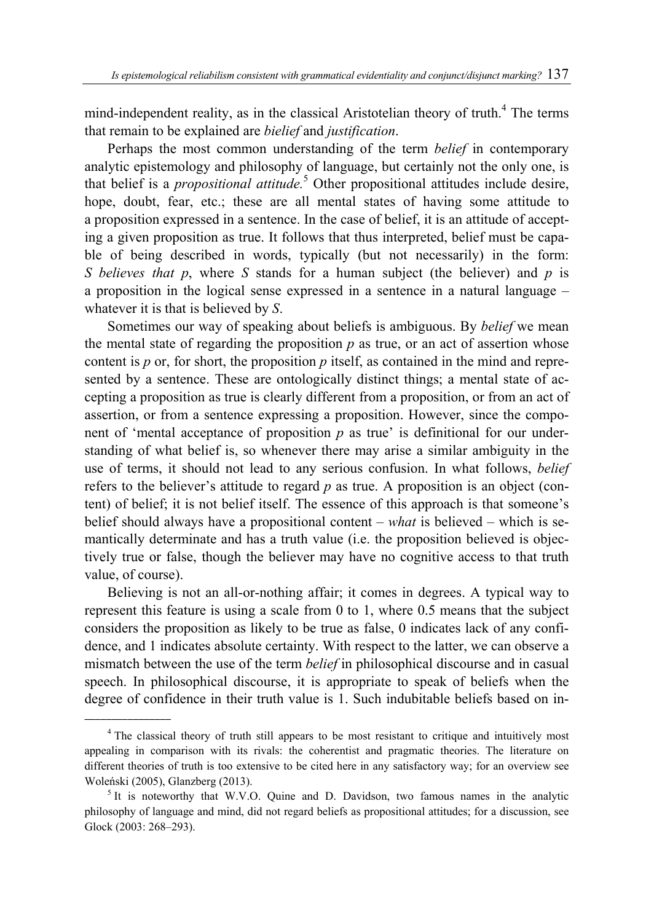mind-independent reality, as in the classical Aristotelian theory of truth.<sup>4</sup> The terms that remain to be explained are *bielief* and *justification*.

Perhaps the most common understanding of the term *belief* in contemporary analytic epistemology and philosophy of language, but certainly not the only one, is that belief is a *propositional attitude.*<sup>5</sup> Other propositional attitudes include desire, hope, doubt, fear, etc.; these are all mental states of having some attitude to a proposition expressed in a sentence. In the case of belief, it is an attitude of accepting a given proposition as true. It follows that thus interpreted, belief must be capable of being described in words, typically (but not necessarily) in the form: *S believes that p*, where *S* stands for a human subject (the believer) and *p* is a proposition in the logical sense expressed in a sentence in a natural language – whatever it is that is believed by *S*.

Sometimes our way of speaking about beliefs is ambiguous. By *belief* we mean the mental state of regarding the proposition  $p$  as true, or an act of assertion whose content is *p* or, for short, the proposition *p* itself, as contained in the mind and represented by a sentence. These are ontologically distinct things; a mental state of accepting a proposition as true is clearly different from a proposition, or from an act of assertion, or from a sentence expressing a proposition. However, since the component of 'mental acceptance of proposition  $p$  as true' is definitional for our understanding of what belief is, so whenever there may arise a similar ambiguity in the use of terms, it should not lead to any serious confusion. In what follows, *belief* refers to the believer's attitude to regard *p* as true. A proposition is an object (content) of belief; it is not belief itself. The essence of this approach is that someone's belief should always have a propositional content – *what* is believed – which is semantically determinate and has a truth value (i.e. the proposition believed is objectively true or false, though the believer may have no cognitive access to that truth value, of course).

Believing is not an all-or-nothing affair; it comes in degrees. A typical way to represent this feature is using a scale from 0 to 1, where 0.5 means that the subject considers the proposition as likely to be true as false, 0 indicates lack of any confidence, and 1 indicates absolute certainty. With respect to the latter, we can observe a mismatch between the use of the term *belief* in philosophical discourse and in casual speech. In philosophical discourse, it is appropriate to speak of beliefs when the degree of confidence in their truth value is 1. Such indubitable beliefs based on in-

 $\overline{\phantom{a}}$  , where  $\overline{\phantom{a}}$ 

<sup>&</sup>lt;sup>4</sup> The classical theory of truth still appears to be most resistant to critique and intuitively most appealing in comparison with its rivals: the coherentist and pragmatic theories. The literature on different theories of truth is too extensive to be cited here in any satisfactory way; for an overview see Woleński (2005), Glanzberg (2013). 5

 $1$ <sup>5</sup> It is noteworthy that W.V.O. Quine and D. Davidson, two famous names in the analytic philosophy of language and mind, did not regard beliefs as propositional attitudes; for a discussion, see Glock (2003: 268–293).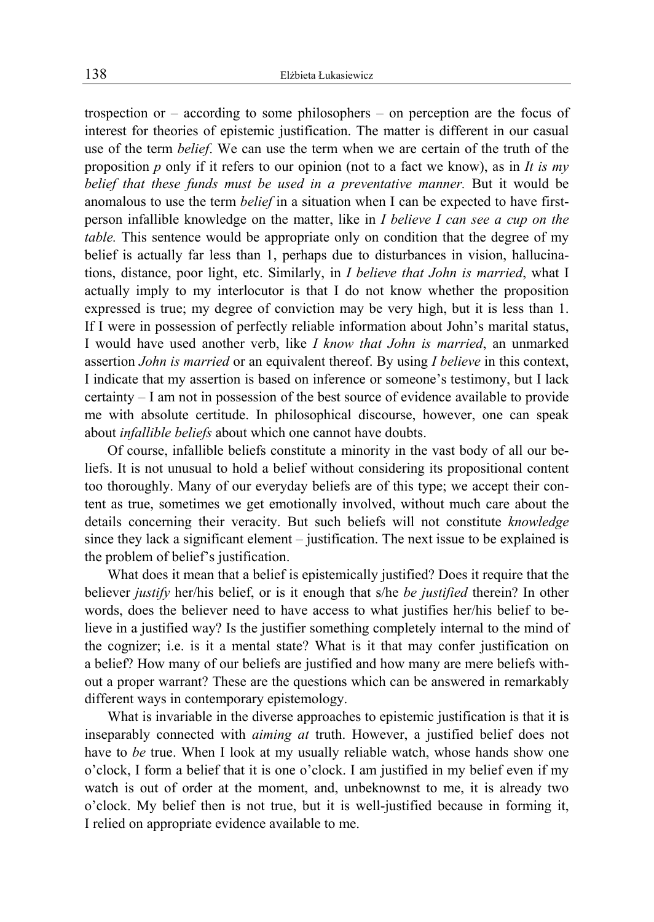trospection or – according to some philosophers – on perception are the focus of interest for theories of epistemic justification. The matter is different in our casual use of the term *belief*. We can use the term when we are certain of the truth of the proposition *p* only if it refers to our opinion (not to a fact we know), as in *It is my belief that these funds must be used in a preventative manner.* But it would be anomalous to use the term *belief* in a situation when I can be expected to have firstperson infallible knowledge on the matter, like in *I believe I can see a cup on the table.* This sentence would be appropriate only on condition that the degree of my belief is actually far less than 1, perhaps due to disturbances in vision, hallucinations, distance, poor light, etc. Similarly, in *I believe that John is married*, what I actually imply to my interlocutor is that I do not know whether the proposition expressed is true; my degree of conviction may be very high, but it is less than 1. If I were in possession of perfectly reliable information about John's marital status, I would have used another verb, like *I know that John is married*, an unmarked assertion *John is married* or an equivalent thereof. By using *I believe* in this context, I indicate that my assertion is based on inference or someone's testimony, but I lack certainty – I am not in possession of the best source of evidence available to provide me with absolute certitude. In philosophical discourse, however, one can speak about *infallible beliefs* about which one cannot have doubts.

Of course, infallible beliefs constitute a minority in the vast body of all our beliefs. It is not unusual to hold a belief without considering its propositional content too thoroughly. Many of our everyday beliefs are of this type; we accept their content as true, sometimes we get emotionally involved, without much care about the details concerning their veracity. But such beliefs will not constitute *knowledge* since they lack a significant element – justification. The next issue to be explained is the problem of belief's justification.

What does it mean that a belief is epistemically justified? Does it require that the believer *justify* her/his belief, or is it enough that s/he *be justified* therein? In other words, does the believer need to have access to what justifies her/his belief to believe in a justified way? Is the justifier something completely internal to the mind of the cognizer; i.e. is it a mental state? What is it that may confer justification on a belief? How many of our beliefs are justified and how many are mere beliefs without a proper warrant? These are the questions which can be answered in remarkably different ways in contemporary epistemology.

What is invariable in the diverse approaches to epistemic justification is that it is inseparably connected with *aiming at* truth. However, a justified belief does not have to *be* true. When I look at my usually reliable watch, whose hands show one o'clock, I form a belief that it is one o'clock. I am justified in my belief even if my watch is out of order at the moment, and, unbeknownst to me, it is already two o'clock. My belief then is not true, but it is well-justified because in forming it, I relied on appropriate evidence available to me.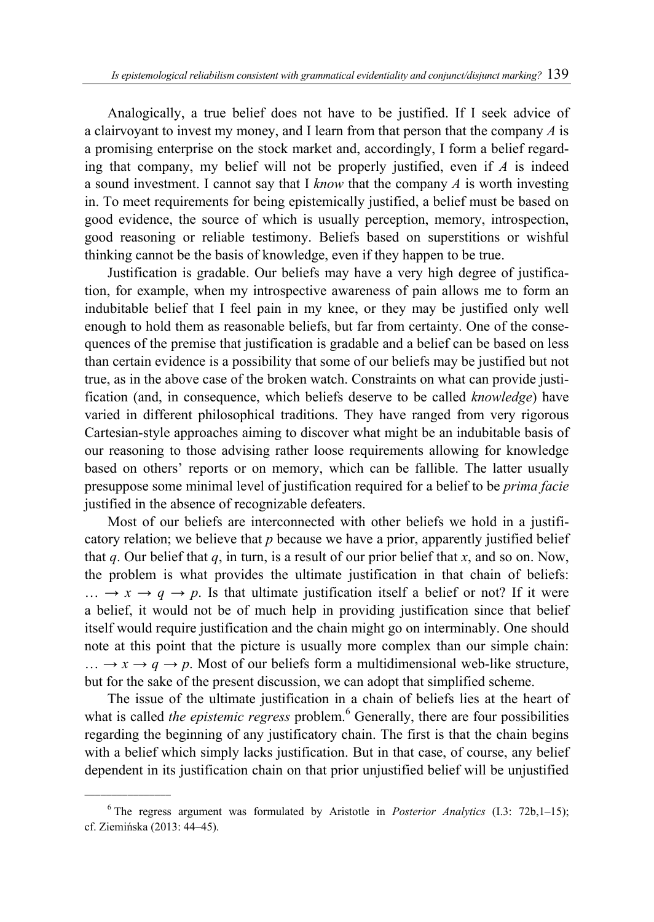Analogically, a true belief does not have to be justified. If I seek advice of a clairvoyant to invest my money, and I learn from that person that the company *A* is a promising enterprise on the stock market and, accordingly, I form a belief regarding that company, my belief will not be properly justified, even if *A* is indeed a sound investment. I cannot say that I *know* that the company *A* is worth investing in. To meet requirements for being epistemically justified, a belief must be based on good evidence, the source of which is usually perception, memory, introspection, good reasoning or reliable testimony. Beliefs based on superstitions or wishful thinking cannot be the basis of knowledge, even if they happen to be true.

Justification is gradable. Our beliefs may have a very high degree of justification, for example, when my introspective awareness of pain allows me to form an indubitable belief that I feel pain in my knee, or they may be justified only well enough to hold them as reasonable beliefs, but far from certainty. One of the consequences of the premise that justification is gradable and a belief can be based on less than certain evidence is a possibility that some of our beliefs may be justified but not true, as in the above case of the broken watch. Constraints on what can provide justification (and, in consequence, which beliefs deserve to be called *knowledge*) have varied in different philosophical traditions. They have ranged from very rigorous Cartesian-style approaches aiming to discover what might be an indubitable basis of our reasoning to those advising rather loose requirements allowing for knowledge based on others' reports or on memory, which can be fallible. The latter usually presuppose some minimal level of justification required for a belief to be *prima facie* justified in the absence of recognizable defeaters.

Most of our beliefs are interconnected with other beliefs we hold in a justificatory relation; we believe that *p* because we have a prior, apparently justified belief that *q*. Our belief that *q*, in turn, is a result of our prior belief that *x*, and so on. Now, the problem is what provides the ultimate justification in that chain of beliefs:  $\ldots \rightarrow x \rightarrow q \rightarrow p$ . Is that ultimate justification itself a belief or not? If it were a belief, it would not be of much help in providing justification since that belief itself would require justification and the chain might go on interminably. One should note at this point that the picture is usually more complex than our simple chain:  $\ldots \rightarrow x \rightarrow q \rightarrow p$ . Most of our beliefs form a multidimensional web-like structure, but for the sake of the present discussion, we can adopt that simplified scheme.

The issue of the ultimate justification in a chain of beliefs lies at the heart of what is called *the epistemic regress* problem.<sup>6</sup> Generally, there are four possibilities regarding the beginning of any justificatory chain. The first is that the chain begins with a belief which simply lacks justification. But in that case, of course, any belief dependent in its justification chain on that prior unjustified belief will be unjustified

<sup>6</sup> The regress argument was formulated by Aristotle in *Posterior Analytics* (I.3: 72b,1–15); cf. Ziemińska (2013: 44–45).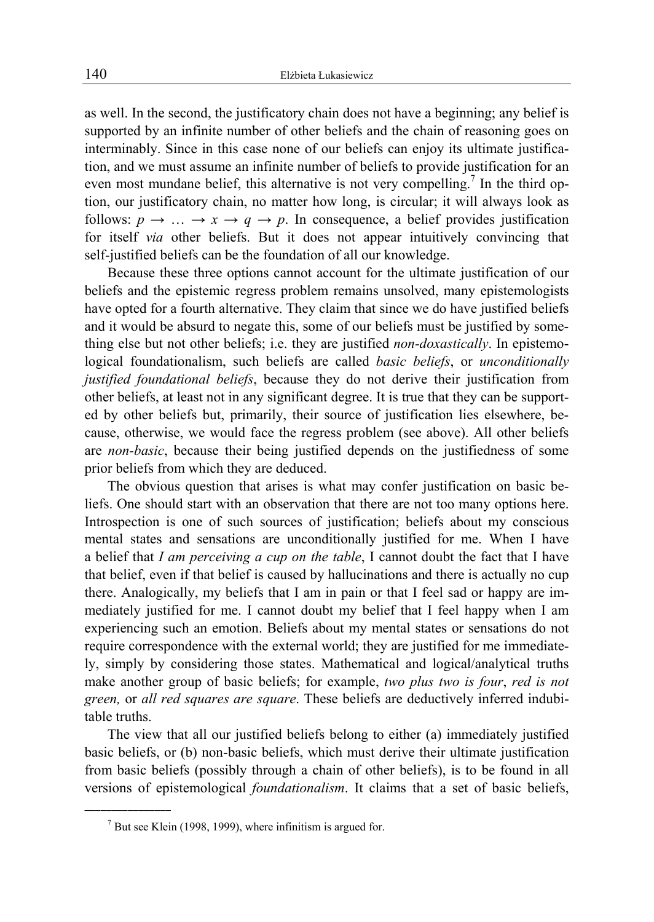as well. In the second, the justificatory chain does not have a beginning; any belief is supported by an infinite number of other beliefs and the chain of reasoning goes on interminably. Since in this case none of our beliefs can enjoy its ultimate justification, and we must assume an infinite number of beliefs to provide justification for an even most mundane belief, this alternative is not very compelling.<sup>7</sup> In the third option, our justificatory chain, no matter how long, is circular; it will always look as follows:  $p \rightarrow \ldots \rightarrow x \rightarrow q \rightarrow p$ . In consequence, a belief provides justification for itself *via* other beliefs. But it does not appear intuitively convincing that self-justified beliefs can be the foundation of all our knowledge.

Because these three options cannot account for the ultimate justification of our beliefs and the epistemic regress problem remains unsolved, many epistemologists have opted for a fourth alternative. They claim that since we do have justified beliefs and it would be absurd to negate this, some of our beliefs must be justified by something else but not other beliefs; i.e. they are justified *non-doxastically*. In epistemological foundationalism, such beliefs are called *basic beliefs*, or *unconditionally justified foundational beliefs*, because they do not derive their justification from other beliefs, at least not in any significant degree. It is true that they can be supported by other beliefs but, primarily, their source of justification lies elsewhere, because, otherwise, we would face the regress problem (see above). All other beliefs are *non-basic*, because their being justified depends on the justifiedness of some prior beliefs from which they are deduced.

The obvious question that arises is what may confer justification on basic beliefs. One should start with an observation that there are not too many options here. Introspection is one of such sources of justification; beliefs about my conscious mental states and sensations are unconditionally justified for me. When I have a belief that *I am perceiving a cup on the table*, I cannot doubt the fact that I have that belief, even if that belief is caused by hallucinations and there is actually no cup there. Analogically, my beliefs that I am in pain or that I feel sad or happy are immediately justified for me. I cannot doubt my belief that I feel happy when I am experiencing such an emotion. Beliefs about my mental states or sensations do not require correspondence with the external world; they are justified for me immediately, simply by considering those states. Mathematical and logical/analytical truths make another group of basic beliefs; for example, *two plus two is four*, *red is not green,* or *all red squares are square*. These beliefs are deductively inferred indubitable truths.

The view that all our justified beliefs belong to either (a) immediately justified basic beliefs, or (b) non-basic beliefs, which must derive their ultimate justification from basic beliefs (possibly through a chain of other beliefs), is to be found in all versions of epistemological *foundationalism*. It claims that a set of basic beliefs,

 $<sup>7</sup>$  But see Klein (1998, 1999), where infinitism is argued for.</sup>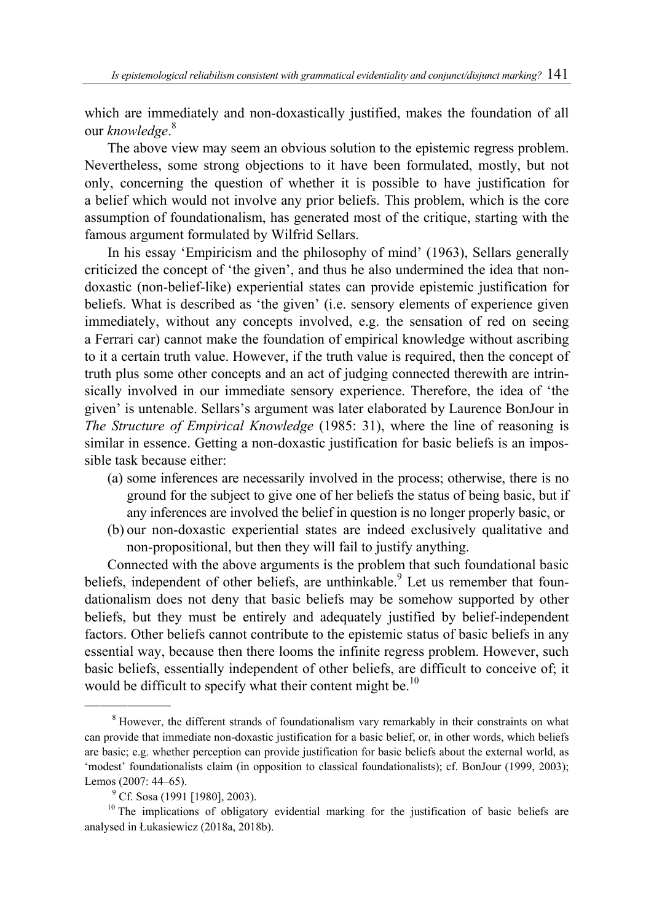which are immediately and non-doxastically justified, makes the foundation of all our *knowledge*. 8

The above view may seem an obvious solution to the epistemic regress problem. Nevertheless, some strong objections to it have been formulated, mostly, but not only, concerning the question of whether it is possible to have justification for a belief which would not involve any prior beliefs. This problem, which is the core assumption of foundationalism, has generated most of the critique, starting with the famous argument formulated by Wilfrid Sellars.

In his essay 'Empiricism and the philosophy of mind' (1963), Sellars generally criticized the concept of 'the given', and thus he also undermined the idea that nondoxastic (non-belief-like) experiential states can provide epistemic justification for beliefs. What is described as 'the given' (i.e. sensory elements of experience given immediately, without any concepts involved, e.g. the sensation of red on seeing a Ferrari car) cannot make the foundation of empirical knowledge without ascribing to it a certain truth value. However, if the truth value is required, then the concept of truth plus some other concepts and an act of judging connected therewith are intrinsically involved in our immediate sensory experience. Therefore, the idea of 'the given' is untenable. Sellars's argument was later elaborated by Laurence BonJour in *The Structure of Empirical Knowledge* (1985: 31), where the line of reasoning is similar in essence. Getting a non-doxastic justification for basic beliefs is an impossible task because either:

- (a) some inferences are necessarily involved in the process; otherwise, there is no ground for the subject to give one of her beliefs the status of being basic, but if any inferences are involved the belief in question is no longer properly basic, or
- (b) our non-doxastic experiential states are indeed exclusively qualitative and non-propositional, but then they will fail to justify anything.

Connected with the above arguments is the problem that such foundational basic beliefs, independent of other beliefs, are unthinkable.<sup>9</sup> Let us remember that foundationalism does not deny that basic beliefs may be somehow supported by other beliefs, but they must be entirely and adequately justified by belief-independent factors. Other beliefs cannot contribute to the epistemic status of basic beliefs in any essential way, because then there looms the infinite regress problem. However, such basic beliefs, essentially independent of other beliefs, are difficult to conceive of; it would be difficult to specify what their content might be.<sup>10</sup>

<sup>&</sup>lt;sup>8</sup> However, the different strands of foundationalism vary remarkably in their constraints on what can provide that immediate non-doxastic justification for a basic belief, or, in other words, which beliefs are basic; e.g. whether perception can provide justification for basic beliefs about the external world, as 'modest' foundationalists claim (in opposition to classical foundationalists); cf. BonJour (1999, 2003); Lemos (2007: 44–65).

 $^{9}$  Cf. Sosa (1991 [1980], 2003).

 $10$  The implications of obligatory evidential marking for the justification of basic beliefs are analysed in Łukasiewicz (2018a, 2018b).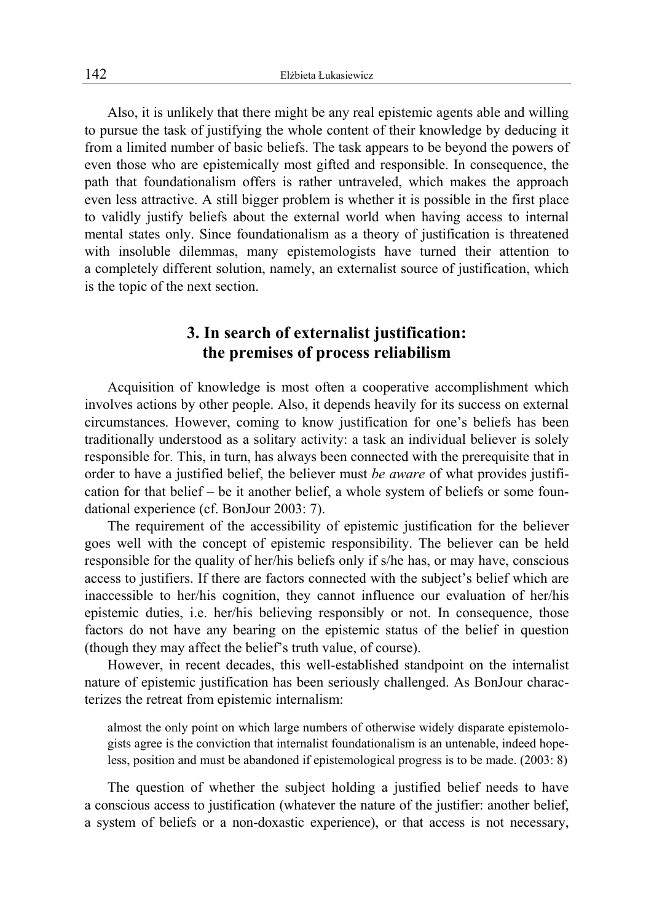Also, it is unlikely that there might be any real epistemic agents able and willing to pursue the task of justifying the whole content of their knowledge by deducing it from a limited number of basic beliefs. The task appears to be beyond the powers of even those who are epistemically most gifted and responsible. In consequence, the path that foundationalism offers is rather untraveled, which makes the approach even less attractive. A still bigger problem is whether it is possible in the first place to validly justify beliefs about the external world when having access to internal mental states only. Since foundationalism as a theory of justification is threatened with insoluble dilemmas, many epistemologists have turned their attention to a completely different solution, namely, an externalist source of justification, which is the topic of the next section.

### **3. In search of externalist justification: the premises of process reliabilism**

Acquisition of knowledge is most often a cooperative accomplishment which involves actions by other people. Also, it depends heavily for its success on external circumstances. However, coming to know justification for one's beliefs has been traditionally understood as a solitary activity: a task an individual believer is solely responsible for. This, in turn, has always been connected with the prerequisite that in order to have a justified belief, the believer must *be aware* of what provides justification for that belief – be it another belief, a whole system of beliefs or some foundational experience (cf. BonJour 2003: 7).

The requirement of the accessibility of epistemic justification for the believer goes well with the concept of epistemic responsibility. The believer can be held responsible for the quality of her/his beliefs only if s/he has, or may have, conscious access to justifiers. If there are factors connected with the subject's belief which are inaccessible to her/his cognition, they cannot influence our evaluation of her/his epistemic duties, i.e. her/his believing responsibly or not. In consequence, those factors do not have any bearing on the epistemic status of the belief in question (though they may affect the belief's truth value, of course).

However, in recent decades, this well-established standpoint on the internalist nature of epistemic justification has been seriously challenged. As BonJour characterizes the retreat from epistemic internalism:

almost the only point on which large numbers of otherwise widely disparate epistemologists agree is the conviction that internalist foundationalism is an untenable, indeed hopeless, position and must be abandoned if epistemological progress is to be made. (2003: 8)

The question of whether the subject holding a justified belief needs to have a conscious access to justification (whatever the nature of the justifier: another belief, a system of beliefs or a non-doxastic experience), or that access is not necessary,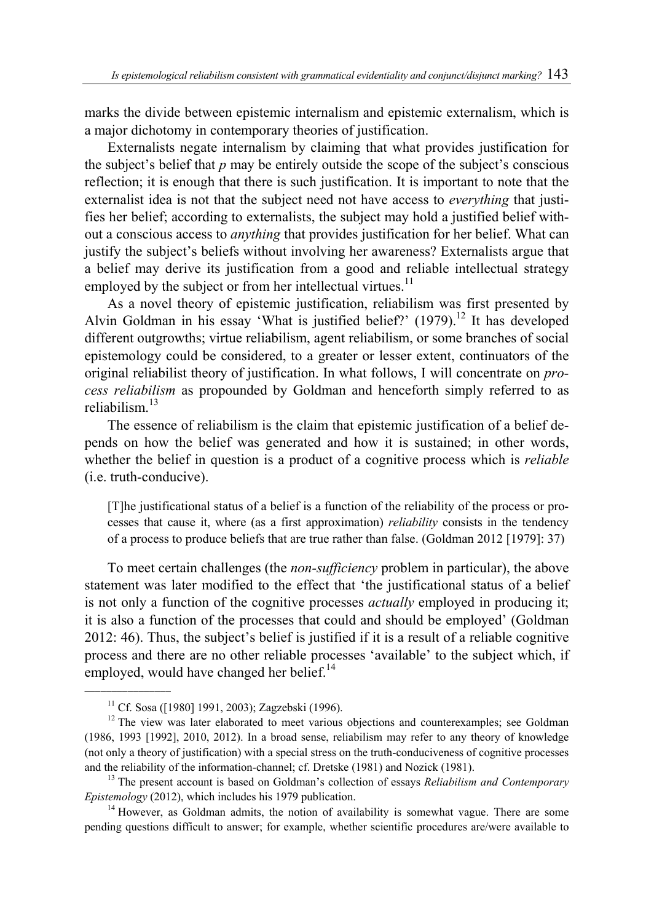marks the divide between epistemic internalism and epistemic externalism, which is a major dichotomy in contemporary theories of justification.

Externalists negate internalism by claiming that what provides justification for the subject's belief that *p* may be entirely outside the scope of the subject's conscious reflection; it is enough that there is such justification. It is important to note that the externalist idea is not that the subject need not have access to *everything* that justifies her belief; according to externalists, the subject may hold a justified belief without a conscious access to *anything* that provides justification for her belief. What can justify the subject's beliefs without involving her awareness? Externalists argue that a belief may derive its justification from a good and reliable intellectual strategy employed by the subject or from her intellectual virtues.<sup>11</sup>

As a novel theory of epistemic justification, reliabilism was first presented by Alvin Goldman in his essay 'What is justified belief?'  $(1979)$ .<sup>12</sup> It has developed different outgrowths; virtue reliabilism, agent reliabilism, or some branches of social epistemology could be considered, to a greater or lesser extent, continuators of the original reliabilist theory of justification. In what follows, I will concentrate on *process reliabilism* as propounded by Goldman and henceforth simply referred to as reliabilism.<sup>13</sup>

The essence of reliabilism is the claim that epistemic justification of a belief depends on how the belief was generated and how it is sustained; in other words, whether the belief in question is a product of a cognitive process which is *reliable* (i.e. truth-conducive).

[T]he justificational status of a belief is a function of the reliability of the process or processes that cause it, where (as a first approximation) *reliability* consists in the tendency of a process to produce beliefs that are true rather than false. (Goldman 2012 [1979]: 37)

To meet certain challenges (the *non-sufficiency* problem in particular), the above statement was later modified to the effect that 'the justificational status of a belief is not only a function of the cognitive processes *actually* employed in producing it; it is also a function of the processes that could and should be employed' (Goldman 2012: 46). Thus, the subject's belief is justified if it is a result of a reliable cognitive process and there are no other reliable processes 'available' to the subject which, if employed, would have changed her belief. $14$ 

 $\overline{\phantom{a}}$  , where  $\overline{\phantom{a}}$ 

 $11$  Cf. Sosa ([1980] 1991, 2003); Zagzebski (1996).

<sup>&</sup>lt;sup>12</sup> The view was later elaborated to meet various objections and counterexamples; see Goldman (1986, 1993 [1992], 2010, 2012). In a broad sense, reliabilism may refer to any theory of knowledge (not only a theory of justification) with a special stress on the truth-conduciveness of cognitive processes and the reliability of the information-channel; cf. Dretske (1981) and Nozick (1981). 13 The present account is based on Goldman's collection of essays *Reliabilism and Contemporary* 

*Epistemology* (2012), which includes his 1979 publication.<br><sup>14</sup> However, as Goldman admits, the notion of availability is somewhat vague. There are some

pending questions difficult to answer; for example, whether scientific procedures are/were available to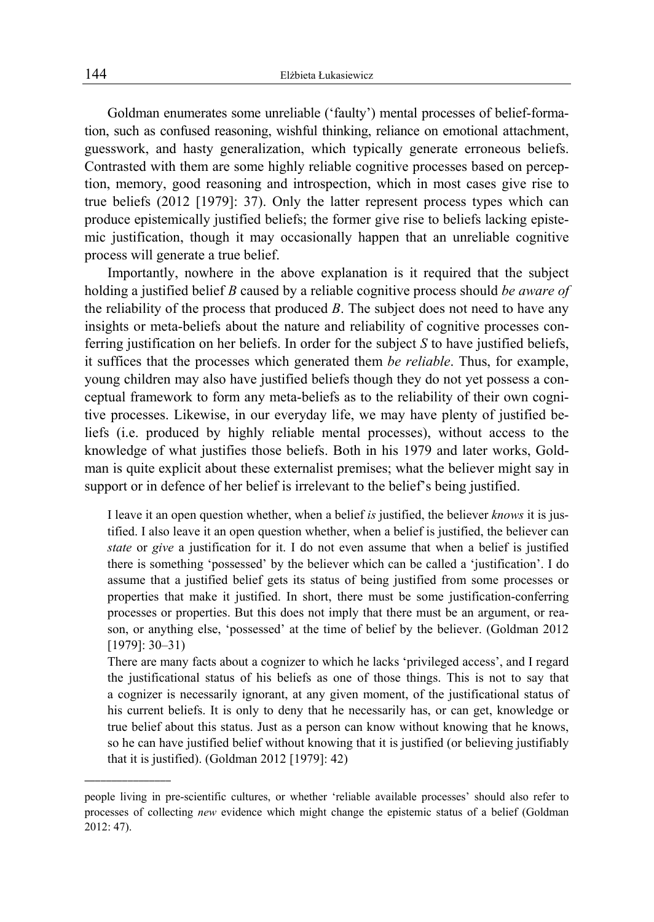Goldman enumerates some unreliable ('faulty') mental processes of belief-formation, such as confused reasoning, wishful thinking, reliance on emotional attachment, guesswork, and hasty generalization, which typically generate erroneous beliefs. Contrasted with them are some highly reliable cognitive processes based on perception, memory, good reasoning and introspection, which in most cases give rise to true beliefs (2012 [1979]: 37). Only the latter represent process types which can produce epistemically justified beliefs; the former give rise to beliefs lacking epistemic justification, though it may occasionally happen that an unreliable cognitive process will generate a true belief.

Importantly, nowhere in the above explanation is it required that the subject holding a justified belief *B* caused by a reliable cognitive process should *be aware of* the reliability of the process that produced *B*. The subject does not need to have any insights or meta-beliefs about the nature and reliability of cognitive processes conferring justification on her beliefs. In order for the subject *S* to have justified beliefs, it suffices that the processes which generated them *be reliable*. Thus, for example, young children may also have justified beliefs though they do not yet possess a conceptual framework to form any meta-beliefs as to the reliability of their own cognitive processes. Likewise, in our everyday life, we may have plenty of justified beliefs (i.e. produced by highly reliable mental processes), without access to the knowledge of what justifies those beliefs. Both in his 1979 and later works, Goldman is quite explicit about these externalist premises; what the believer might say in support or in defence of her belief is irrelevant to the belief's being justified.

I leave it an open question whether, when a belief *is* justified, the believer *knows* it is justified. I also leave it an open question whether, when a belief is justified, the believer can *state* or *give* a justification for it. I do not even assume that when a belief is justified there is something 'possessed' by the believer which can be called a 'justification'. I do assume that a justified belief gets its status of being justified from some processes or properties that make it justified. In short, there must be some justification-conferring processes or properties. But this does not imply that there must be an argument, or reason, or anything else, 'possessed' at the time of belief by the believer. (Goldman 2012 [1979]: 30–31)

There are many facts about a cognizer to which he lacks 'privileged access', and I regard the justificational status of his beliefs as one of those things. This is not to say that a cognizer is necessarily ignorant, at any given moment, of the justificational status of his current beliefs. It is only to deny that he necessarily has, or can get, knowledge or true belief about this status. Just as a person can know without knowing that he knows, so he can have justified belief without knowing that it is justified (or believing justifiably that it is justified). (Goldman 2012 [1979]: 42)

 $\overline{\phantom{a}}$  , where  $\overline{\phantom{a}}$ 

people living in pre-scientific cultures, or whether 'reliable available processes' should also refer to processes of collecting *new* evidence which might change the epistemic status of a belief (Goldman 2012: 47).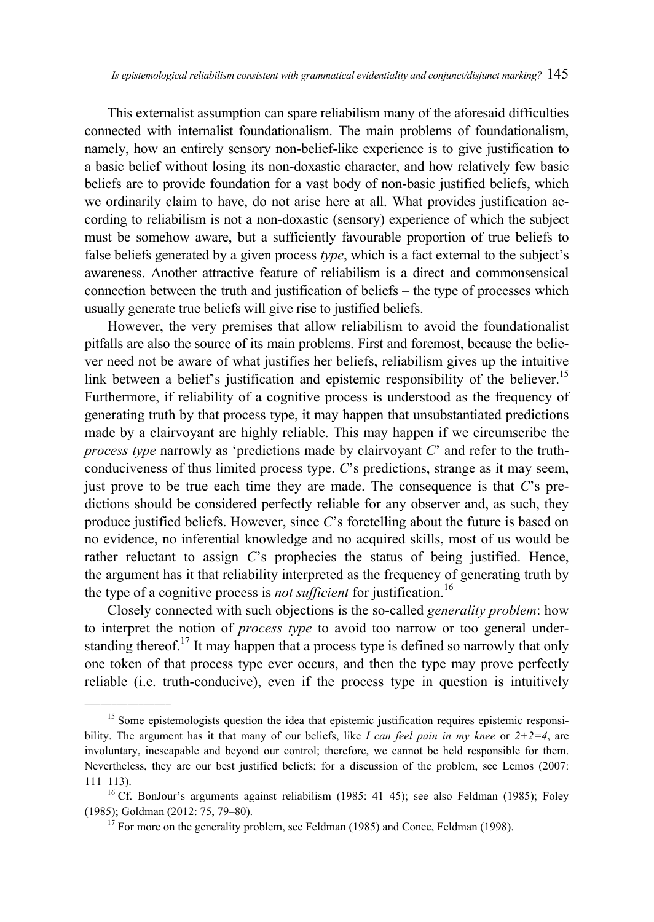This externalist assumption can spare reliabilism many of the aforesaid difficulties connected with internalist foundationalism. The main problems of foundationalism, namely, how an entirely sensory non-belief-like experience is to give justification to a basic belief without losing its non-doxastic character, and how relatively few basic beliefs are to provide foundation for a vast body of non-basic justified beliefs, which we ordinarily claim to have, do not arise here at all. What provides justification according to reliabilism is not a non-doxastic (sensory) experience of which the subject must be somehow aware, but a sufficiently favourable proportion of true beliefs to false beliefs generated by a given process *type*, which is a fact external to the subject's awareness. Another attractive feature of reliabilism is a direct and commonsensical connection between the truth and justification of beliefs – the type of processes which usually generate true beliefs will give rise to justified beliefs.

However, the very premises that allow reliabilism to avoid the foundationalist pitfalls are also the source of its main problems. First and foremost, because the believer need not be aware of what justifies her beliefs, reliabilism gives up the intuitive link between a belief's justification and epistemic responsibility of the believer.<sup>15</sup> Furthermore, if reliability of a cognitive process is understood as the frequency of generating truth by that process type, it may happen that unsubstantiated predictions made by a clairvoyant are highly reliable. This may happen if we circumscribe the *process type* narrowly as 'predictions made by clairvoyant *C*' and refer to the truthconduciveness of thus limited process type. *C*'s predictions, strange as it may seem, just prove to be true each time they are made. The consequence is that *C*'s predictions should be considered perfectly reliable for any observer and, as such, they produce justified beliefs. However, since *C*'s foretelling about the future is based on no evidence, no inferential knowledge and no acquired skills, most of us would be rather reluctant to assign *C*'s prophecies the status of being justified. Hence, the argument has it that reliability interpreted as the frequency of generating truth by the type of a cognitive process is *not sufficient* for justification.<sup>16</sup>

Closely connected with such objections is the so-called *generality problem*: how to interpret the notion of *process type* to avoid too narrow or too general understanding thereof.<sup>17</sup> It may happen that a process type is defined so narrowly that only one token of that process type ever occurs, and then the type may prove perfectly reliable (i.e. truth-conducive), even if the process type in question is intuitively

<sup>&</sup>lt;sup>15</sup> Some epistemologists question the idea that epistemic justification requires epistemic responsibility. The argument has it that many of our beliefs, like *I can feel pain in my knee* or *2+2=4*, are involuntary, inescapable and beyond our control; therefore, we cannot be held responsible for them. Nevertheless, they are our best justified beliefs; for a discussion of the problem, see Lemos (2007: 111–113).<br><sup>16</sup> Cf. BonJour's arguments against reliabilism (1985: 41–45); see also Feldman (1985); Foley

<sup>(1985);</sup> Goldman (2012: 75, 79–80). <sup>17</sup> For more on the generality problem, see Feldman (1985) and Conee, Feldman (1998).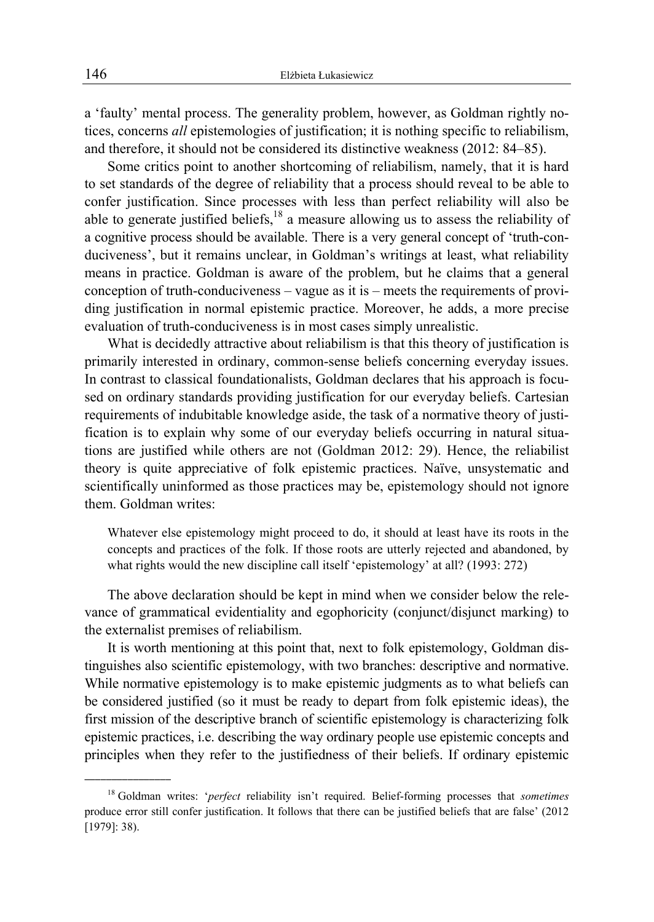a 'faulty' mental process. The generality problem, however, as Goldman rightly notices, concerns *all* epistemologies of justification; it is nothing specific to reliabilism, and therefore, it should not be considered its distinctive weakness (2012: 84–85).

Some critics point to another shortcoming of reliabilism, namely, that it is hard to set standards of the degree of reliability that a process should reveal to be able to confer justification. Since processes with less than perfect reliability will also be able to generate justified beliefs,<sup>18</sup> a measure allowing us to assess the reliability of a cognitive process should be available. There is a very general concept of 'truth-conduciveness', but it remains unclear, in Goldman's writings at least, what reliability means in practice. Goldman is aware of the problem, but he claims that a general conception of truth-conduciveness – vague as it is – meets the requirements of providing justification in normal epistemic practice. Moreover, he adds, a more precise evaluation of truth-conduciveness is in most cases simply unrealistic.

What is decidedly attractive about reliabilism is that this theory of justification is primarily interested in ordinary, common-sense beliefs concerning everyday issues. In contrast to classical foundationalists, Goldman declares that his approach is focused on ordinary standards providing justification for our everyday beliefs. Cartesian requirements of indubitable knowledge aside, the task of a normative theory of justification is to explain why some of our everyday beliefs occurring in natural situations are justified while others are not (Goldman 2012: 29). Hence, the reliabilist theory is quite appreciative of folk epistemic practices. Naïve, unsystematic and scientifically uninformed as those practices may be, epistemology should not ignore them. Goldman writes:

Whatever else epistemology might proceed to do, it should at least have its roots in the concepts and practices of the folk. If those roots are utterly rejected and abandoned, by what rights would the new discipline call itself 'epistemology' at all? (1993: 272)

The above declaration should be kept in mind when we consider below the relevance of grammatical evidentiality and egophoricity (conjunct/disjunct marking) to the externalist premises of reliabilism.

It is worth mentioning at this point that, next to folk epistemology, Goldman distinguishes also scientific epistemology, with two branches: descriptive and normative. While normative epistemology is to make epistemic judgments as to what beliefs can be considered justified (so it must be ready to depart from folk epistemic ideas), the first mission of the descriptive branch of scientific epistemology is characterizing folk epistemic practices, i.e. describing the way ordinary people use epistemic concepts and principles when they refer to the justifiedness of their beliefs. If ordinary epistemic

<sup>18</sup> Goldman writes: '*perfect* reliability isn't required. Belief-forming processes that *sometimes* produce error still confer justification. It follows that there can be justified beliefs that are false' (2012 [1979]: 38).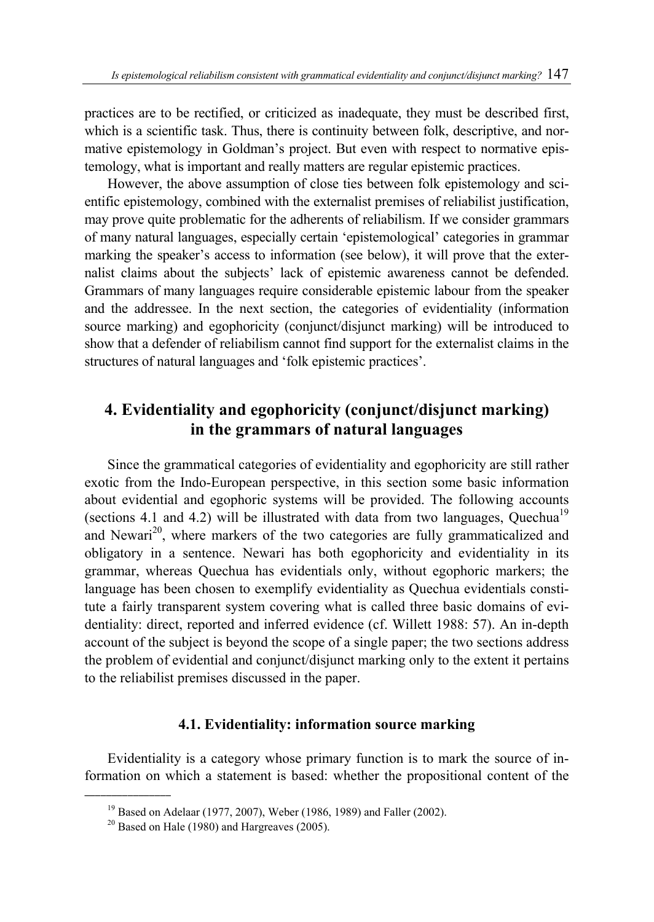practices are to be rectified, or criticized as inadequate, they must be described first, which is a scientific task. Thus, there is continuity between folk, descriptive, and normative epistemology in Goldman's project. But even with respect to normative epistemology, what is important and really matters are regular epistemic practices.

However, the above assumption of close ties between folk epistemology and scientific epistemology, combined with the externalist premises of reliabilist justification, may prove quite problematic for the adherents of reliabilism. If we consider grammars of many natural languages, especially certain 'epistemological' categories in grammar marking the speaker's access to information (see below), it will prove that the externalist claims about the subjects' lack of epistemic awareness cannot be defended. Grammars of many languages require considerable epistemic labour from the speaker and the addressee. In the next section, the categories of evidentiality (information source marking) and egophoricity (conjunct/disjunct marking) will be introduced to show that a defender of reliabilism cannot find support for the externalist claims in the structures of natural languages and 'folk epistemic practices'.

# **4. Evidentiality and egophoricity (conjunct/disjunct marking) in the grammars of natural languages**

Since the grammatical categories of evidentiality and egophoricity are still rather exotic from the Indo-European perspective, in this section some basic information about evidential and egophoric systems will be provided. The following accounts (sections 4.1 and 4.2) will be illustrated with data from two languages, Quechua<sup>19</sup> and Newari<sup>20</sup>, where markers of the two categories are fully grammaticalized and obligatory in a sentence. Newari has both egophoricity and evidentiality in its grammar, whereas Quechua has evidentials only, without egophoric markers; the language has been chosen to exemplify evidentiality as Quechua evidentials constitute a fairly transparent system covering what is called three basic domains of evidentiality: direct, reported and inferred evidence (cf. Willett 1988: 57). An in-depth account of the subject is beyond the scope of a single paper; the two sections address the problem of evidential and conjunct/disjunct marking only to the extent it pertains to the reliabilist premises discussed in the paper.

#### **4.1. Evidentiality: information source marking**

Evidentiality is a category whose primary function is to mark the source of information on which a statement is based: whether the propositional content of the

<sup>&</sup>lt;sup>19</sup> Based on Adelaar (1977, 2007), Weber (1986, 1989) and Faller (2002).<br><sup>20</sup> Based on Hale (1980) and Hargreaves (2005).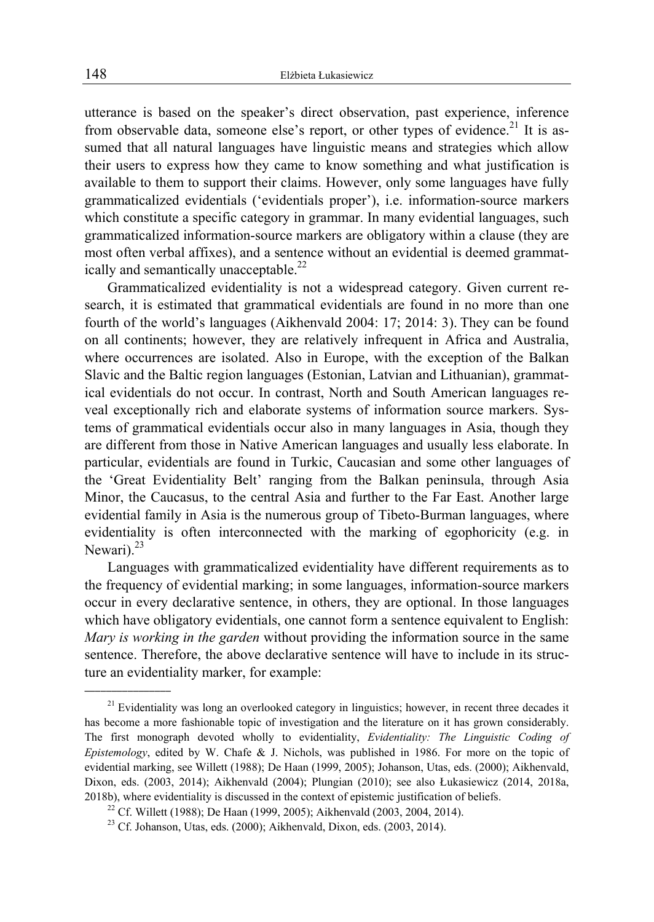utterance is based on the speaker's direct observation, past experience, inference from observable data, someone else's report, or other types of evidence.<sup>21</sup> It is assumed that all natural languages have linguistic means and strategies which allow their users to express how they came to know something and what justification is available to them to support their claims. However, only some languages have fully grammaticalized evidentials ('evidentials proper'), i.e. information-source markers which constitute a specific category in grammar. In many evidential languages, such grammaticalized information-source markers are obligatory within a clause (they are most often verbal affixes), and a sentence without an evidential is deemed grammatically and semantically unacceptable.<sup>22</sup>

Grammaticalized evidentiality is not a widespread category. Given current research, it is estimated that grammatical evidentials are found in no more than one fourth of the world's languages (Aikhenvald 2004: 17; 2014: 3). They can be found on all continents; however, they are relatively infrequent in Africa and Australia, where occurrences are isolated. Also in Europe, with the exception of the Balkan Slavic and the Baltic region languages (Estonian, Latvian and Lithuanian), grammatical evidentials do not occur. In contrast, North and South American languages reveal exceptionally rich and elaborate systems of information source markers. Systems of grammatical evidentials occur also in many languages in Asia, though they are different from those in Native American languages and usually less elaborate. In particular, evidentials are found in Turkic, Caucasian and some other languages of the 'Great Evidentiality Belt' ranging from the Balkan peninsula, through Asia Minor, the Caucasus, to the central Asia and further to the Far East. Another large evidential family in Asia is the numerous group of Tibeto-Burman languages, where evidentiality is often interconnected with the marking of egophoricity (e.g. in Newari).<sup>23</sup>

Languages with grammaticalized evidentiality have different requirements as to the frequency of evidential marking; in some languages, information-source markers occur in every declarative sentence, in others, they are optional. In those languages which have obligatory evidentials, one cannot form a sentence equivalent to English: *Mary is working in the garden* without providing the information source in the same sentence. Therefore, the above declarative sentence will have to include in its structure an evidentiality marker, for example:

 $\overline{\phantom{a}}$  , where  $\overline{\phantom{a}}$ 

<sup>&</sup>lt;sup>21</sup> Evidentiality was long an overlooked category in linguistics; however, in recent three decades it has become a more fashionable topic of investigation and the literature on it has grown considerably. The first monograph devoted wholly to evidentiality, *Evidentiality: The Linguistic Coding of Epistemology*, edited by W. Chafe & J. Nichols, was published in 1986. For more on the topic of evidential marking, see Willett (1988); De Haan (1999, 2005); Johanson, Utas, eds. (2000); Aikhenvald, Dixon, eds. (2003, 2014); Aikhenvald (2004); Plungian (2010); see also Łukasiewicz (2014, 2018a, 2018b), where evidentiality is discussed in the context of epistemic justification of beliefs.<br><sup>22</sup> Cf. Willett (1988); De Haan (1999, 2005); Aikhenvald (2003, 2004, 2014).<br><sup>23</sup> Cf. Johanson, Utas, eds. (2000); Aikhenvald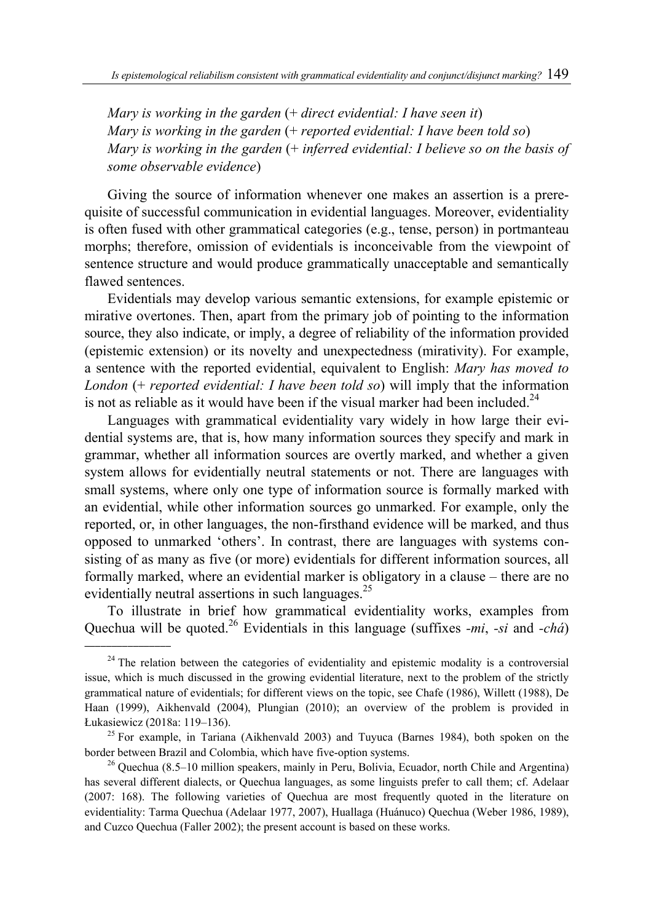*Mary is working in the garden* (+ *direct evidential: I have seen it*) *Mary is working in the garden* (+ *reported evidential: I have been told so*) *Mary is working in the garden* (+ *inferred evidential: I believe so on the basis of some observable evidence*)

Giving the source of information whenever one makes an assertion is a prerequisite of successful communication in evidential languages. Moreover, evidentiality is often fused with other grammatical categories (e.g., tense, person) in portmanteau morphs; therefore, omission of evidentials is inconceivable from the viewpoint of sentence structure and would produce grammatically unacceptable and semantically flawed sentences.

Evidentials may develop various semantic extensions, for example epistemic or mirative overtones. Then, apart from the primary job of pointing to the information source, they also indicate, or imply, a degree of reliability of the information provided (epistemic extension) or its novelty and unexpectedness (mirativity). For example, a sentence with the reported evidential, equivalent to English: *Mary has moved to London* (+ *reported evidential: I have been told so*) will imply that the information is not as reliable as it would have been if the visual marker had been included.<sup>24</sup>

Languages with grammatical evidentiality vary widely in how large their evidential systems are, that is, how many information sources they specify and mark in grammar, whether all information sources are overtly marked, and whether a given system allows for evidentially neutral statements or not. There are languages with small systems, where only one type of information source is formally marked with an evidential, while other information sources go unmarked. For example, only the reported, or, in other languages, the non-firsthand evidence will be marked, and thus opposed to unmarked 'others'. In contrast, there are languages with systems consisting of as many as five (or more) evidentials for different information sources, all formally marked, where an evidential marker is obligatory in a clause – there are no evidentially neutral assertions in such languages.<sup>25</sup>

To illustrate in brief how grammatical evidentiality works, examples from Quechua will be quoted.26 Evidentials in this language (suffixes *-mi*, *-si* and *-chá*)

 $\overline{\phantom{a}}$  , where  $\overline{\phantom{a}}$ 

<sup>&</sup>lt;sup>24</sup> The relation between the categories of evidentiality and epistemic modality is a controversial issue, which is much discussed in the growing evidential literature, next to the problem of the strictly grammatical nature of evidentials; for different views on the topic, see Chafe (1986), Willett (1988), De Haan (1999), Aikhenvald (2004), Plungian (2010); an overview of the problem is provided in Łukasiewicz (2018a: 119–136). 25 For example, in Tariana (Aikhenvald 2003) and Tuyuca (Barnes 1984), both spoken on the

border between Brazil and Colombia, which have five-option systems. 26 Quechua (8.5–10 million speakers, mainly in Peru, Bolivia, Ecuador, north Chile and Argentina)

has several different dialects, or Quechua languages, as some linguists prefer to call them; cf. Adelaar (2007: 168). The following varieties of Quechua are most frequently quoted in the literature on evidentiality: Tarma Quechua (Adelaar 1977, 2007), Huallaga (Huánuco) Quechua (Weber 1986, 1989), and Cuzco Quechua (Faller 2002); the present account is based on these works.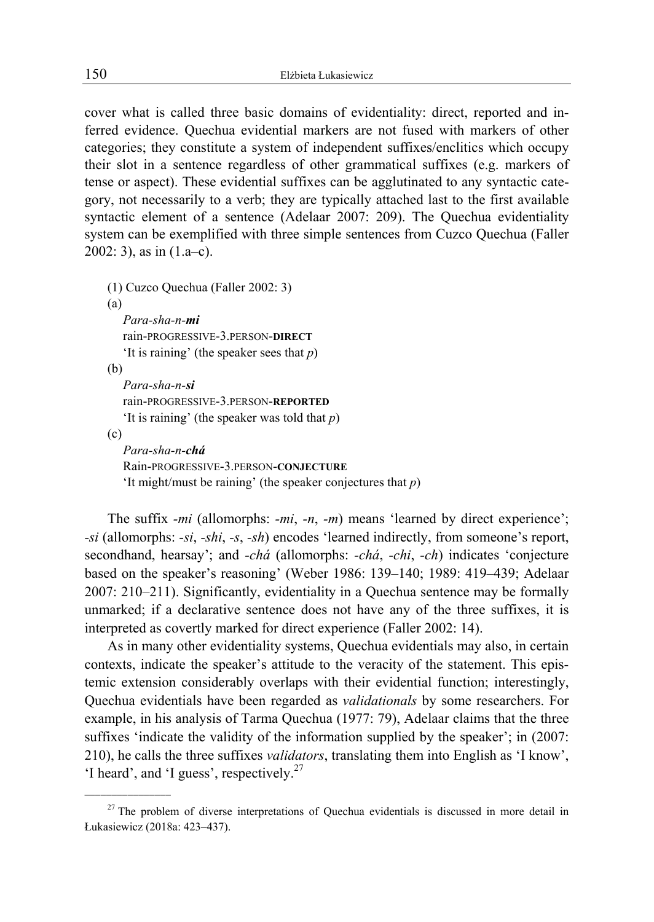cover what is called three basic domains of evidentiality: direct, reported and inferred evidence. Quechua evidential markers are not fused with markers of other categories; they constitute a system of independent suffixes/enclitics which occupy their slot in a sentence regardless of other grammatical suffixes (e.g. markers of tense or aspect). These evidential suffixes can be agglutinated to any syntactic category, not necessarily to a verb; they are typically attached last to the first available syntactic element of a sentence (Adelaar 2007: 209). The Quechua evidentiality system can be exemplified with three simple sentences from Cuzco Quechua (Faller 2002: 3), as in  $(1.a-c)$ .

```
(1) Cuzco Quechua (Faller 2002: 3) 
(a) 
   Para-sha-n-mi
  rain-PROGRESSIVE-3.PERSON-DIRECT
   'It is raining' (the speaker sees that p) 
(b) 
  Para-sha-n-si
   rain-PROGRESSIVE-3.PERSON-REPORTED
   'It is raining' (the speaker was told that p) 
(c) 
   Para-sha-n-chá
  Rain-PROGRESSIVE-3.PERSON-CONJECTURE
   'It might/must be raining' (the speaker conjectures that p)
```
The suffix *-mi* (allomorphs: *-mi*, *-n*, *-m*) means 'learned by direct experience'; *-si* (allomorphs: -*si*, *-shi*, *-s*, *-sh*) encodes 'learned indirectly, from someone's report, secondhand, hearsay'; and *-chá* (allomorphs: *-chá*, *-chi*, *-ch*) indicates 'conjecture based on the speaker's reasoning' (Weber 1986: 139–140; 1989: 419–439; Adelaar 2007: 210–211). Significantly, evidentiality in a Quechua sentence may be formally unmarked; if a declarative sentence does not have any of the three suffixes, it is interpreted as covertly marked for direct experience (Faller 2002: 14).

As in many other evidentiality systems, Quechua evidentials may also, in certain contexts, indicate the speaker's attitude to the veracity of the statement. This epistemic extension considerably overlaps with their evidential function; interestingly, Quechua evidentials have been regarded as *validationals* by some researchers. For example, in his analysis of Tarma Quechua (1977: 79), Adelaar claims that the three suffixes 'indicate the validity of the information supplied by the speaker'; in (2007: 210), he calls the three suffixes *validators*, translating them into English as 'I know', 'I heard', and 'I guess', respectively.<sup>27</sup>

<sup>&</sup>lt;sup>27</sup> The problem of diverse interpretations of Quechua evidentials is discussed in more detail in Łukasiewicz (2018a: 423–437).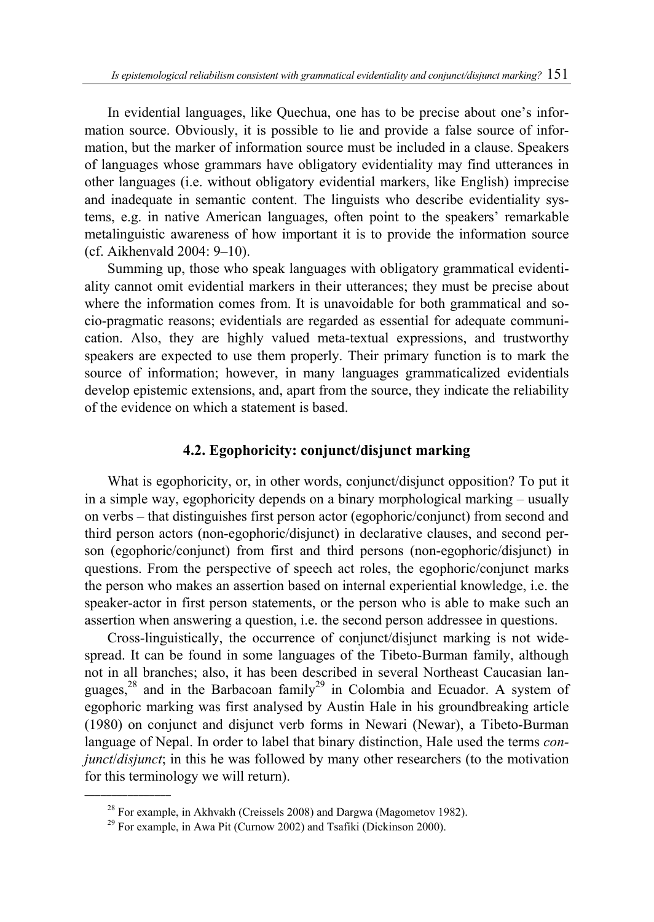In evidential languages, like Quechua, one has to be precise about one's information source. Obviously, it is possible to lie and provide a false source of information, but the marker of information source must be included in a clause. Speakers of languages whose grammars have obligatory evidentiality may find utterances in other languages (i.e. without obligatory evidential markers, like English) imprecise and inadequate in semantic content. The linguists who describe evidentiality systems, e.g. in native American languages, often point to the speakers' remarkable metalinguistic awareness of how important it is to provide the information source (cf. Aikhenvald 2004: 9–10).

Summing up, those who speak languages with obligatory grammatical evidentiality cannot omit evidential markers in their utterances; they must be precise about where the information comes from. It is unavoidable for both grammatical and socio-pragmatic reasons; evidentials are regarded as essential for adequate communication. Also, they are highly valued meta-textual expressions, and trustworthy speakers are expected to use them properly. Their primary function is to mark the source of information; however, in many languages grammaticalized evidentials develop epistemic extensions, and, apart from the source, they indicate the reliability of the evidence on which a statement is based.

#### **4.2. Egophoricity: conjunct/disjunct marking**

What is egophoricity, or, in other words, conjunct/disjunct opposition? To put it in a simple way, egophoricity depends on a binary morphological marking – usually on verbs – that distinguishes first person actor (egophoric/conjunct) from second and third person actors (non-egophoric/disjunct) in declarative clauses, and second person (egophoric/conjunct) from first and third persons (non-egophoric/disjunct) in questions. From the perspective of speech act roles, the egophoric/conjunct marks the person who makes an assertion based on internal experiential knowledge, i.e. the speaker-actor in first person statements, or the person who is able to make such an assertion when answering a question, i.e. the second person addressee in questions.

Cross-linguistically, the occurrence of conjunct/disjunct marking is not widespread. It can be found in some languages of the Tibeto-Burman family, although not in all branches; also, it has been described in several Northeast Caucasian languages,<sup>28</sup> and in the Barbacoan family<sup>29</sup> in Colombia and Ecuador. A system of egophoric marking was first analysed by Austin Hale in his groundbreaking article (1980) on conjunct and disjunct verb forms in Newari (Newar), a Tibeto-Burman language of Nepal. In order to label that binary distinction, Hale used the terms *conjunct*/*disjunct*; in this he was followed by many other researchers (to the motivation for this terminology we will return).

<sup>&</sup>lt;sup>28</sup> For example, in Akhvakh (Creissels 2008) and Dargwa (Magometov 1982).<br><sup>29</sup> For example, in Awa Pit (Curnow 2002) and Tsafiki (Dickinson 2000).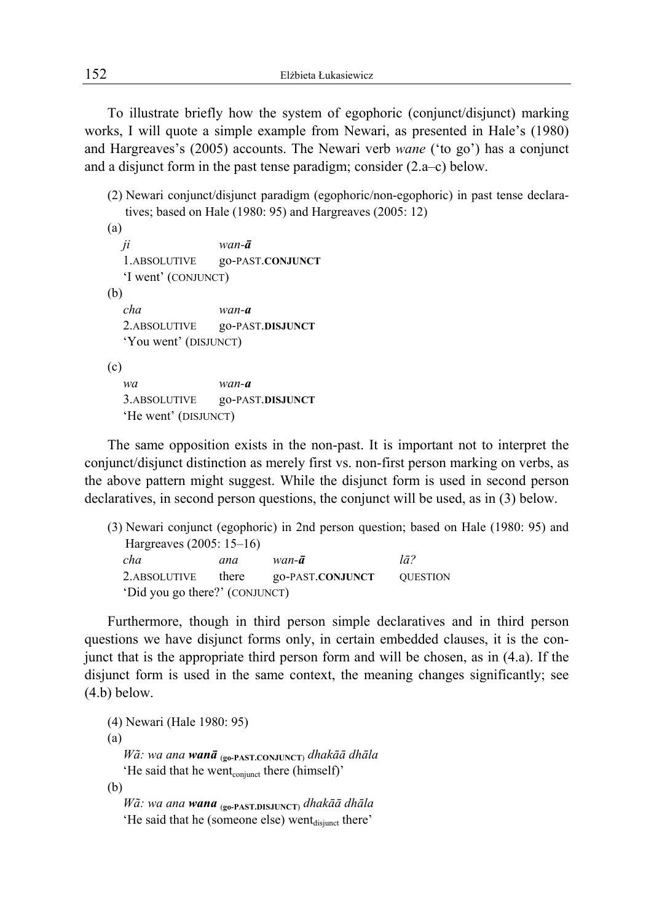To illustrate briefly how the system of egophoric (conjunct/disjunct) marking works, I will quote a simple example from Newari, as presented in Hale's (1980) and Hargreaves's (2005) accounts. The Newari verb *wane* ('to go') has a conjunct and a disjunct form in the past tense paradigm; consider (2.a–c) below.

(2) Newari conjunct/disjunct paradigm (egophoric/non-egophoric) in past tense declaratives; based on Hale (1980: 95) and Hargreaves (2005: 12)

```
(a) 
  ji wan-ā
  1.ABSOLUTIVE go-PAST.CONJUNCT
  'I went' (CONJUNCT) 
(b) 
  cha wan-a
  2.ABSOLUTIVE go-PAST.DISJUNCT
  'You went' (DISJUNCT) 
(c) 
  wa wan-a
  3.ABSOLUTIVE go-PAST.DISJUNCT
  'He went' (DISJUNCT)
```
The same opposition exists in the non-past. It is important not to interpret the conjunct/disjunct distinction as merely first vs. non-first person marking on verbs, as the above pattern might suggest. While the disjunct form is used in second person declaratives, in second person questions, the conjunct will be used, as in (3) below.

|                                |       |                  | (3) Newari conjunct (egophoric) in 2nd person question; based on Hale (1980: 95) and |
|--------------------------------|-------|------------------|--------------------------------------------------------------------------------------|
| Hargreaves $(2005: 15-16)$     |       |                  |                                                                                      |
| cha                            | ana   | wan- <b>ā</b>    | lā?                                                                                  |
| 2.ABSOLUTIVE                   | there | go-PAST.CONJUNCT | <b>QUESTION</b>                                                                      |
| 'Did you go there?' (CONJUNCT) |       |                  |                                                                                      |

Furthermore, though in third person simple declaratives and in third person questions we have disjunct forms only, in certain embedded clauses, it is the conjunct that is the appropriate third person form and will be chosen, as in (4.a). If the disjunct form is used in the same context, the meaning changes significantly; see (4.b) below.

```
(4) Newari (Hale 1980: 95) 
(a) 
   Wã: wa ana wanā (go-PAST.CONJUNCT) dhakāā dhāla 
   'He said that he went<sub>conjunct</sub> there (himself)'
(b) 
   Wã: wa ana wana (go-PAST.DISJUNCT) dhakāā dhāla
```
'He said that he (someone else) went $_{disimct}$  there'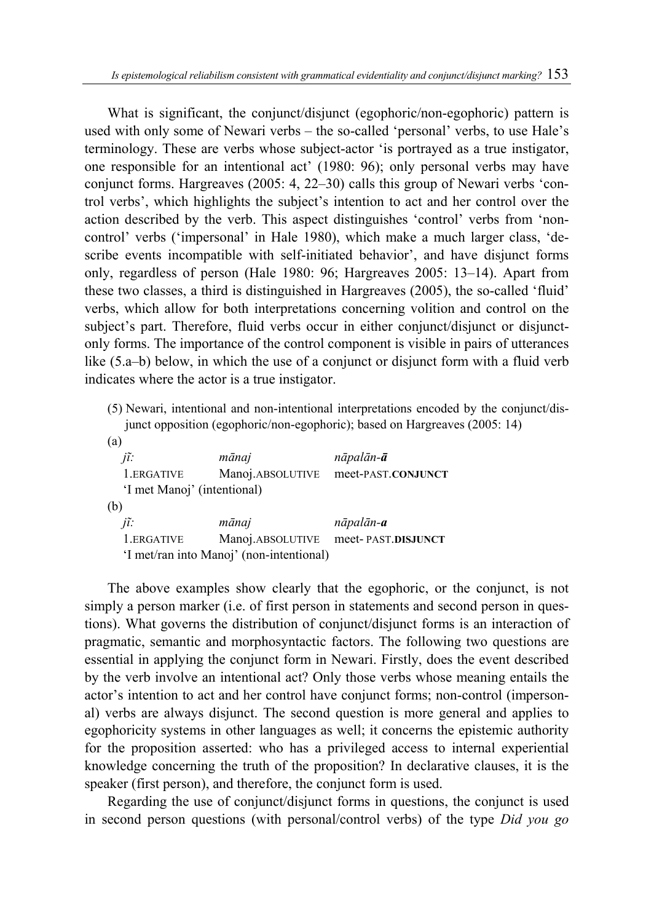What is significant, the conjunct/disjunct (egophoric/non-egophoric) pattern is used with only some of Newari verbs – the so-called 'personal' verbs, to use Hale's terminology. These are verbs whose subject-actor 'is portrayed as a true instigator, one responsible for an intentional act' (1980: 96); only personal verbs may have conjunct forms. Hargreaves (2005: 4, 22–30) calls this group of Newari verbs 'control verbs', which highlights the subject's intention to act and her control over the action described by the verb. This aspect distinguishes 'control' verbs from 'noncontrol' verbs ('impersonal' in Hale 1980), which make a much larger class, 'describe events incompatible with self-initiated behavior', and have disjunct forms only, regardless of person (Hale 1980: 96; Hargreaves 2005: 13–14). Apart from these two classes, a third is distinguished in Hargreaves (2005), the so-called 'fluid' verbs, which allow for both interpretations concerning volition and control on the subject's part. Therefore, fluid verbs occur in either conjunct/disjunct or disjunctonly forms. The importance of the control component is visible in pairs of utterances like (5.a–b) below, in which the use of a conjunct or disjunct form with a fluid verb indicates where the actor is a true instigator.

(5) Newari, intentional and non-intentional interpretations encoded by the conjunct/disjunct opposition (egophoric/non-egophoric); based on Hargreaves (2005: 14)

| (a)                                      |                  |                    |  |  |
|------------------------------------------|------------------|--------------------|--|--|
| jĩ:                                      | mānaj            | nāpalān- <b>ā</b>  |  |  |
| 1.ERGATIVE                               | Manoj.ABSOLUTIVE | meet-PAST.CONJUNCT |  |  |
| 'I met Manoj' (intentional)              |                  |                    |  |  |
| (b)                                      |                  |                    |  |  |
| jĩ:                                      | mānaj            | nāpalān- <b>a</b>  |  |  |
| 1.ERGATIVE                               | Manoj.ABSOLUTIVE | meet-PAST.DISJUNCT |  |  |
| 'I met/ran into Manoj' (non-intentional) |                  |                    |  |  |

The above examples show clearly that the egophoric, or the conjunct, is not simply a person marker (i.e. of first person in statements and second person in questions). What governs the distribution of conjunct/disjunct forms is an interaction of pragmatic, semantic and morphosyntactic factors. The following two questions are essential in applying the conjunct form in Newari. Firstly, does the event described by the verb involve an intentional act? Only those verbs whose meaning entails the actor's intention to act and her control have conjunct forms; non-control (impersonal) verbs are always disjunct. The second question is more general and applies to egophoricity systems in other languages as well; it concerns the epistemic authority for the proposition asserted: who has a privileged access to internal experiential knowledge concerning the truth of the proposition? In declarative clauses, it is the speaker (first person), and therefore, the conjunct form is used.

Regarding the use of conjunct/disjunct forms in questions, the conjunct is used in second person questions (with personal/control verbs) of the type *Did you go*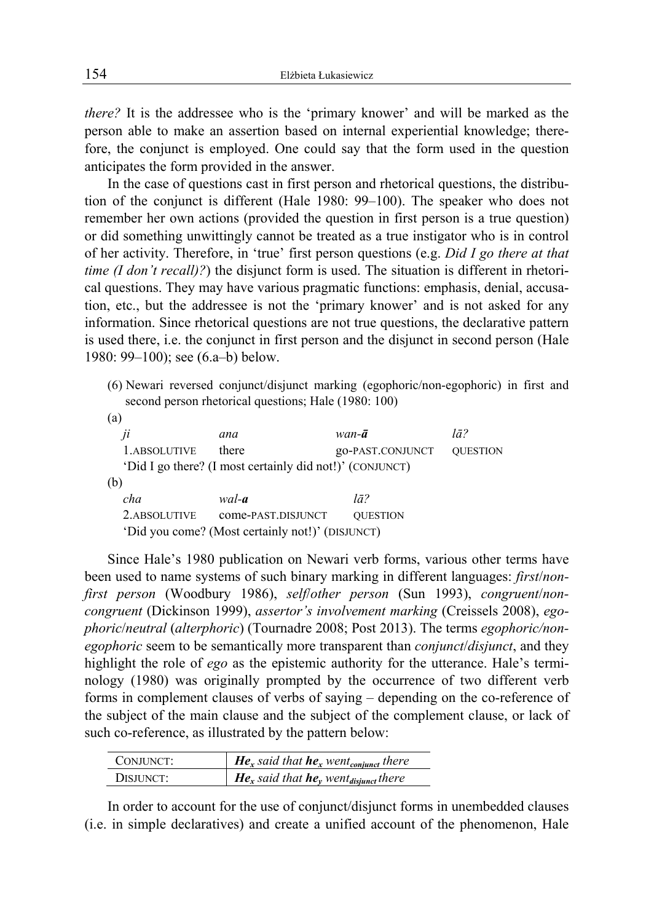*there?* It is the addressee who is the 'primary knower' and will be marked as the person able to make an assertion based on internal experiential knowledge; therefore, the conjunct is employed. One could say that the form used in the question anticipates the form provided in the answer.

In the case of questions cast in first person and rhetorical questions, the distribution of the conjunct is different (Hale 1980: 99–100). The speaker who does not remember her own actions (provided the question in first person is a true question) or did something unwittingly cannot be treated as a true instigator who is in control of her activity. Therefore, in 'true' first person questions (e.g. *Did I go there at that time (I don't recall)?*) the disjunct form is used. The situation is different in rhetorical questions. They may have various pragmatic functions: emphasis, denial, accusation, etc., but the addressee is not the 'primary knower' and is not asked for any information. Since rhetorical questions are not true questions, the declarative pattern is used there, i.e. the conjunct in first person and the disjunct in second person (Hale 1980: 99–100); see (6.a–b) below.

(6) Newari reversed conjunct/disjunct marking (egophoric/non-egophoric) in first and second person rhetorical questions; Hale (1980: 100)

| $\mu$         | ana                                                      | $wan-a$          | lā?             |
|---------------|----------------------------------------------------------|------------------|-----------------|
| 1.ABSOLUTIVE  | there                                                    | go-PAST.CONJUNCT | <b>OUESTION</b> |
|               | 'Did I go there? (I most certainly did not!)' (CONJUNCT) |                  |                 |
| (b)           |                                                          |                  |                 |
| cha           | wal- <b>a</b>                                            | $l\bar{a}$ ?     |                 |
| 2. ABSOLUTIVE | come-PAST.DISJUNCT                                       | <b>QUESTION</b>  |                 |
|               | 'Did you come? (Most certainly not!)' (DISJUNCT)         |                  |                 |
|               |                                                          |                  |                 |

Since Hale's 1980 publication on Newari verb forms, various other terms have been used to name systems of such binary marking in different languages: *first*/*nonfirst person* (Woodbury 1986), *self*/*other person* (Sun 1993), *congruent*/*noncongruent* (Dickinson 1999), *assertor's involvement marking* (Creissels 2008), *egophoric*/*neutral* (*alterphoric*) (Tournadre 2008; Post 2013). The terms *egophoric/nonegophoric* seem to be semantically more transparent than *conjunct*/*disjunct*, and they highlight the role of *ego* as the epistemic authority for the utterance. Hale's terminology (1980) was originally prompted by the occurrence of two different verb forms in complement clauses of verbs of saying – depending on the co-reference of the subject of the main clause and the subject of the complement clause, or lack of such co-reference, as illustrated by the pattern below:

| CONJUNCT: | <b>He</b> <sub>x</sub> said that <b>he</b> <sub>x</sub> went <sub>conjunct</sub> there |
|-----------|----------------------------------------------------------------------------------------|
| DISJUNCT: | <b>He</b> <sub>x</sub> said that <b>he</b> <sub>y</sub> went <sub>disjunct</sub> there |

In order to account for the use of conjunct/disjunct forms in unembedded clauses (i.e. in simple declaratives) and create a unified account of the phenomenon, Hale

 $(a)$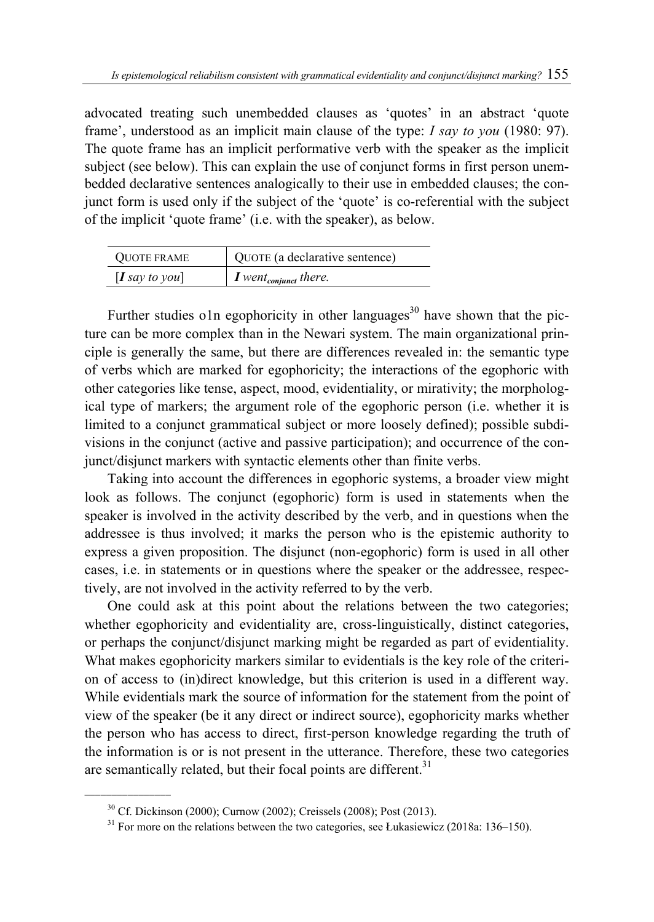advocated treating such unembedded clauses as 'quotes' in an abstract 'quote frame', understood as an implicit main clause of the type: *I say to you* (1980: 97). The quote frame has an implicit performative verb with the speaker as the implicit subject (see below). This can explain the use of conjunct forms in first person unembedded declarative sentences analogically to their use in embedded clauses; the conjunct form is used only if the subject of the 'quote' is co-referential with the subject of the implicit 'quote frame' (i.e. with the speaker), as below.

| <b>OUOTE FRAME</b>  | QUOTE (a declarative sentence)      |
|---------------------|-------------------------------------|
| $\bm{I}$ say to you | $I$ went <sub>conjunct</sub> there. |

Further studies o1n egophoricity in other languages<sup>30</sup> have shown that the picture can be more complex than in the Newari system. The main organizational principle is generally the same, but there are differences revealed in: the semantic type of verbs which are marked for egophoricity; the interactions of the egophoric with other categories like tense, aspect, mood, evidentiality, or mirativity; the morphological type of markers; the argument role of the egophoric person (i.e. whether it is limited to a conjunct grammatical subject or more loosely defined); possible subdivisions in the conjunct (active and passive participation); and occurrence of the conjunct/disjunct markers with syntactic elements other than finite verbs.

Taking into account the differences in egophoric systems, a broader view might look as follows. The conjunct (egophoric) form is used in statements when the speaker is involved in the activity described by the verb, and in questions when the addressee is thus involved; it marks the person who is the epistemic authority to express a given proposition. The disjunct (non-egophoric) form is used in all other cases, i.e. in statements or in questions where the speaker or the addressee, respectively, are not involved in the activity referred to by the verb.

One could ask at this point about the relations between the two categories; whether egophoricity and evidentiality are, cross-linguistically, distinct categories, or perhaps the conjunct/disjunct marking might be regarded as part of evidentiality. What makes egophoricity markers similar to evidentials is the key role of the criterion of access to (in)direct knowledge, but this criterion is used in a different way. While evidentials mark the source of information for the statement from the point of view of the speaker (be it any direct or indirect source), egophoricity marks whether the person who has access to direct, first-person knowledge regarding the truth of the information is or is not present in the utterance. Therefore, these two categories are semantically related, but their focal points are different.<sup>31</sup>

<sup>&</sup>lt;sup>30</sup> Cf. Dickinson (2000); Curnow (2002); Creissels (2008); Post (2013).<br><sup>31</sup> For more on the relations between the two categories, see Łukasiewicz (2018a: 136–150).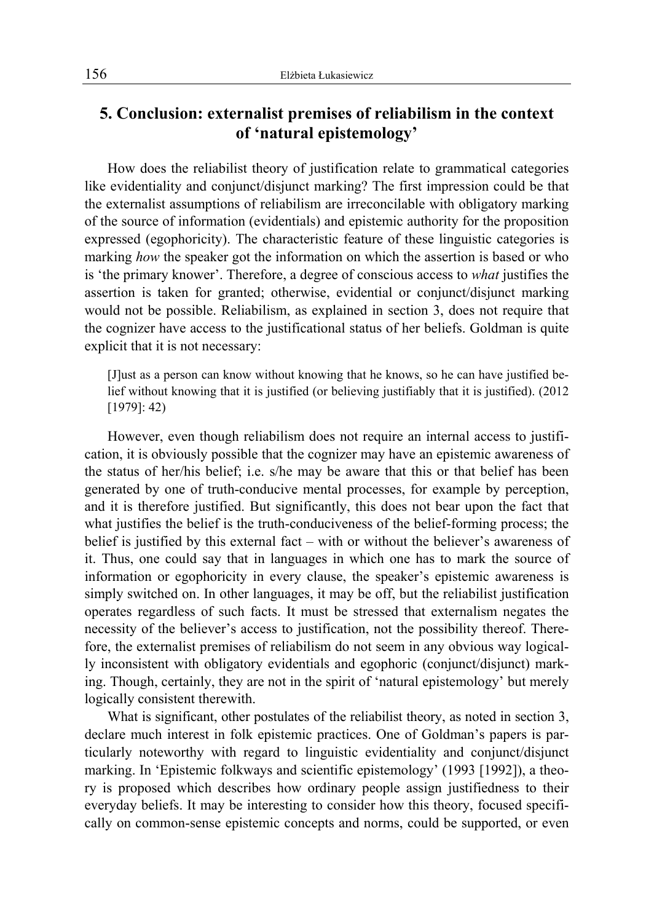### **5. Conclusion: externalist premises of reliabilism in the context of 'natural epistemology'**

How does the reliabilist theory of justification relate to grammatical categories like evidentiality and conjunct/disjunct marking? The first impression could be that the externalist assumptions of reliabilism are irreconcilable with obligatory marking of the source of information (evidentials) and epistemic authority for the proposition expressed (egophoricity). The characteristic feature of these linguistic categories is marking *how* the speaker got the information on which the assertion is based or who is 'the primary knower'. Therefore, a degree of conscious access to *what* justifies the assertion is taken for granted; otherwise, evidential or conjunct/disjunct marking would not be possible. Reliabilism, as explained in section 3, does not require that the cognizer have access to the justificational status of her beliefs. Goldman is quite explicit that it is not necessary:

[J]ust as a person can know without knowing that he knows, so he can have justified belief without knowing that it is justified (or believing justifiably that it is justified). (2012 [1979]: 42)

However, even though reliabilism does not require an internal access to justification, it is obviously possible that the cognizer may have an epistemic awareness of the status of her/his belief; i.e. s/he may be aware that this or that belief has been generated by one of truth-conducive mental processes, for example by perception, and it is therefore justified. But significantly, this does not bear upon the fact that what justifies the belief is the truth-conduciveness of the belief-forming process; the belief is justified by this external fact – with or without the believer's awareness of it. Thus, one could say that in languages in which one has to mark the source of information or egophoricity in every clause, the speaker's epistemic awareness is simply switched on. In other languages, it may be off, but the reliabilist justification operates regardless of such facts. It must be stressed that externalism negates the necessity of the believer's access to justification, not the possibility thereof. Therefore, the externalist premises of reliabilism do not seem in any obvious way logically inconsistent with obligatory evidentials and egophoric (conjunct/disjunct) marking. Though, certainly, they are not in the spirit of 'natural epistemology' but merely logically consistent therewith.

What is significant, other postulates of the reliabilist theory, as noted in section 3, declare much interest in folk epistemic practices. One of Goldman's papers is particularly noteworthy with regard to linguistic evidentiality and conjunct/disjunct marking. In 'Epistemic folkways and scientific epistemology' (1993 [1992]), a theory is proposed which describes how ordinary people assign justifiedness to their everyday beliefs. It may be interesting to consider how this theory, focused specifically on common-sense epistemic concepts and norms, could be supported, or even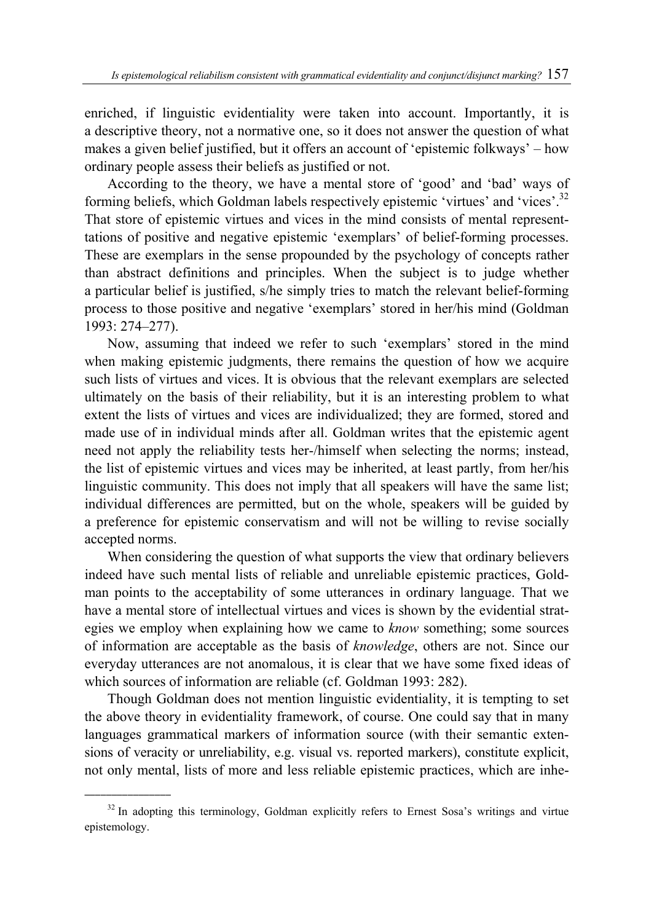enriched, if linguistic evidentiality were taken into account. Importantly, it is a descriptive theory, not a normative one, so it does not answer the question of what makes a given belief justified, but it offers an account of 'epistemic folkways' – how ordinary people assess their beliefs as justified or not.

According to the theory, we have a mental store of 'good' and 'bad' ways of forming beliefs, which Goldman labels respectively epistemic 'virtues' and 'vices'.32 That store of epistemic virtues and vices in the mind consists of mental representtations of positive and negative epistemic 'exemplars' of belief-forming processes. These are exemplars in the sense propounded by the psychology of concepts rather than abstract definitions and principles. When the subject is to judge whether a particular belief is justified, s/he simply tries to match the relevant belief-forming process to those positive and negative 'exemplars' stored in her/his mind (Goldman 1993: 274–277).

Now, assuming that indeed we refer to such 'exemplars' stored in the mind when making epistemic judgments, there remains the question of how we acquire such lists of virtues and vices. It is obvious that the relevant exemplars are selected ultimately on the basis of their reliability, but it is an interesting problem to what extent the lists of virtues and vices are individualized; they are formed, stored and made use of in individual minds after all. Goldman writes that the epistemic agent need not apply the reliability tests her-/himself when selecting the norms; instead, the list of epistemic virtues and vices may be inherited, at least partly, from her/his linguistic community. This does not imply that all speakers will have the same list; individual differences are permitted, but on the whole, speakers will be guided by a preference for epistemic conservatism and will not be willing to revise socially accepted norms.

When considering the question of what supports the view that ordinary believers indeed have such mental lists of reliable and unreliable epistemic practices, Goldman points to the acceptability of some utterances in ordinary language. That we have a mental store of intellectual virtues and vices is shown by the evidential strategies we employ when explaining how we came to *know* something; some sources of information are acceptable as the basis of *knowledge*, others are not. Since our everyday utterances are not anomalous, it is clear that we have some fixed ideas of which sources of information are reliable (cf. Goldman 1993: 282).

Though Goldman does not mention linguistic evidentiality, it is tempting to set the above theory in evidentiality framework, of course. One could say that in many languages grammatical markers of information source (with their semantic extensions of veracity or unreliability, e.g. visual vs. reported markers), constitute explicit, not only mental, lists of more and less reliable epistemic practices, which are inhe-

<sup>&</sup>lt;sup>32</sup> In adopting this terminology, Goldman explicitly refers to Ernest Sosa's writings and virtue epistemology.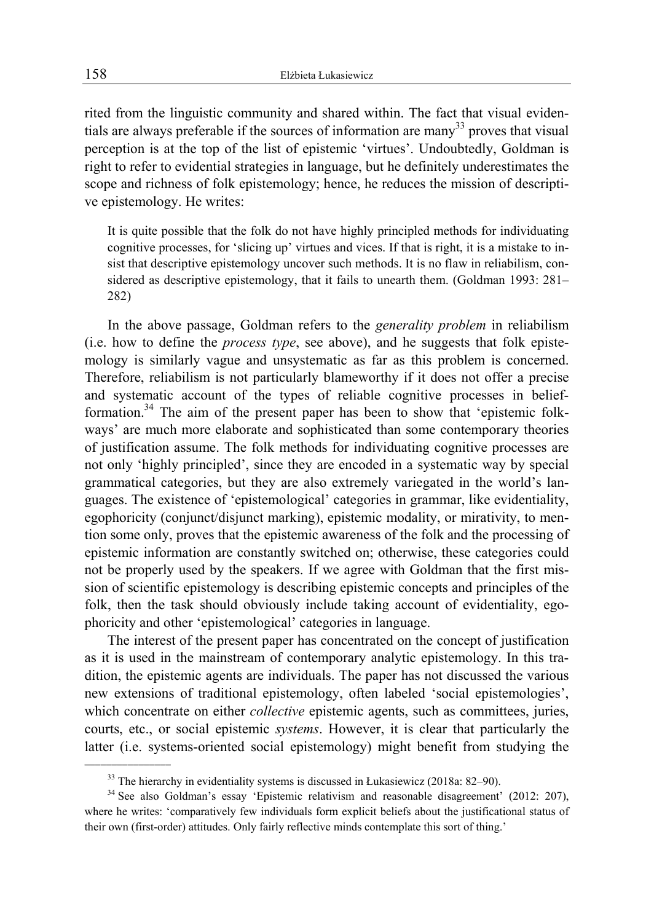rited from the linguistic community and shared within. The fact that visual evidentials are always preferable if the sources of information are many<sup>33</sup> proves that visual perception is at the top of the list of epistemic 'virtues'. Undoubtedly, Goldman is right to refer to evidential strategies in language, but he definitely underestimates the scope and richness of folk epistemology; hence, he reduces the mission of descriptive epistemology. He writes:

It is quite possible that the folk do not have highly principled methods for individuating cognitive processes, for 'slicing up' virtues and vices. If that is right, it is a mistake to insist that descriptive epistemology uncover such methods. It is no flaw in reliabilism, considered as descriptive epistemology, that it fails to unearth them. (Goldman 1993: 281– 282)

In the above passage, Goldman refers to the *generality problem* in reliabilism (i.e. how to define the *process type*, see above), and he suggests that folk epistemology is similarly vague and unsystematic as far as this problem is concerned. Therefore, reliabilism is not particularly blameworthy if it does not offer a precise and systematic account of the types of reliable cognitive processes in beliefformation.<sup>34</sup> The aim of the present paper has been to show that 'epistemic folkways' are much more elaborate and sophisticated than some contemporary theories of justification assume. The folk methods for individuating cognitive processes are not only 'highly principled', since they are encoded in a systematic way by special grammatical categories, but they are also extremely variegated in the world's languages. The existence of 'epistemological' categories in grammar, like evidentiality, egophoricity (conjunct/disjunct marking), epistemic modality, or mirativity, to mention some only, proves that the epistemic awareness of the folk and the processing of epistemic information are constantly switched on; otherwise, these categories could not be properly used by the speakers. If we agree with Goldman that the first mission of scientific epistemology is describing epistemic concepts and principles of the folk, then the task should obviously include taking account of evidentiality, egophoricity and other 'epistemological' categories in language.

The interest of the present paper has concentrated on the concept of justification as it is used in the mainstream of contemporary analytic epistemology. In this tradition, the epistemic agents are individuals. The paper has not discussed the various new extensions of traditional epistemology, often labeled 'social epistemologies', which concentrate on either *collective* epistemic agents, such as committees, juries, courts, etc., or social epistemic *systems*. However, it is clear that particularly the latter (i.e. systems-oriented social epistemology) might benefit from studying the

<sup>&</sup>lt;sup>33</sup> The hierarchy in evidentiality systems is discussed in Łukasiewicz (2018a: 82–90).<br><sup>34</sup> See also Goldman's essay 'Epistemic relativism and reasonable disagreement' (2012: 207), where he writes: 'comparatively few individuals form explicit beliefs about the justificational status of their own (first-order) attitudes. Only fairly reflective minds contemplate this sort of thing.'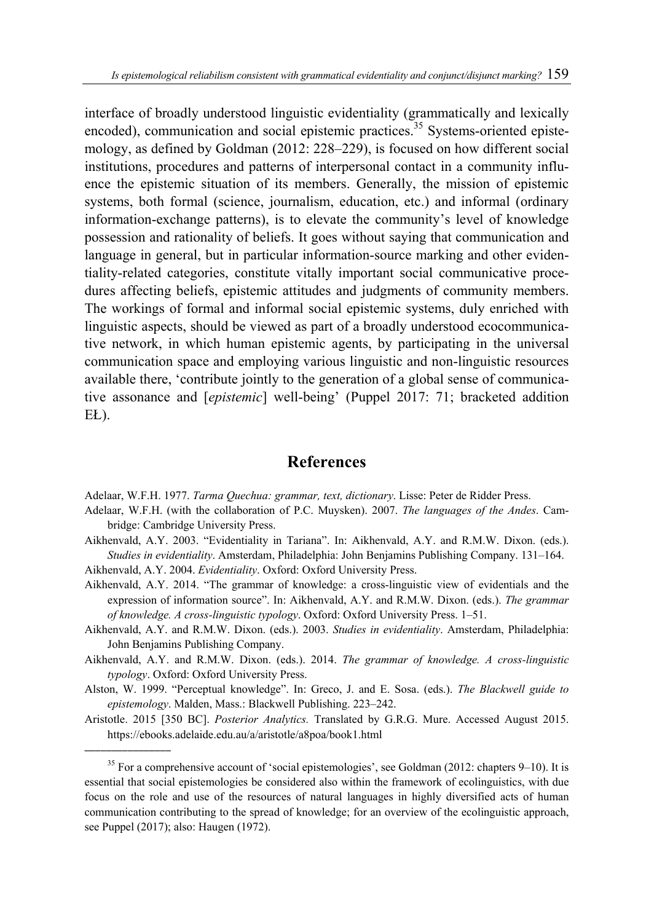interface of broadly understood linguistic evidentiality (grammatically and lexically encoded), communication and social epistemic practices.<sup>35</sup> Systems-oriented epistemology, as defined by Goldman (2012: 228–229), is focused on how different social institutions, procedures and patterns of interpersonal contact in a community influence the epistemic situation of its members. Generally, the mission of epistemic systems, both formal (science, journalism, education, etc.) and informal (ordinary information-exchange patterns), is to elevate the community's level of knowledge possession and rationality of beliefs. It goes without saying that communication and language in general, but in particular information-source marking and other evidentiality-related categories, constitute vitally important social communicative procedures affecting beliefs, epistemic attitudes and judgments of community members. The workings of formal and informal social epistemic systems, duly enriched with linguistic aspects, should be viewed as part of a broadly understood ecocommunicative network, in which human epistemic agents, by participating in the universal communication space and employing various linguistic and non-linguistic resources available there, 'contribute jointly to the generation of a global sense of communicative assonance and [*epistemic*] well-being' (Puppel 2017: 71; bracketed addition EŁ).

### **References**

Adelaar, W.F.H. 1977. *Tarma Quechua: grammar, text, dictionary*. Lisse: Peter de Ridder Press.

- Adelaar, W.F.H. (with the collaboration of P.C. Muysken). 2007. *The languages of the Andes*. Cambridge: Cambridge University Press.
- Aikhenvald, A.Y. 2003. "Evidentiality in Tariana". In: Aikhenvald, A.Y. and R.M.W. Dixon. (eds.). *Studies in evidentiality*. Amsterdam, Philadelphia: John Benjamins Publishing Company. 131–164. Aikhenvald, A.Y. 2004. *Evidentiality*. Oxford: Oxford University Press.
- Aikhenvald, A.Y. 2014. "The grammar of knowledge: a cross-linguistic view of evidentials and the expression of information source". In: Aikhenvald, A.Y. and R.M.W. Dixon. (eds.). *The grammar of knowledge. A cross-linguistic typology*. Oxford: Oxford University Press. 1–51.
- Aikhenvald, A.Y. and R.M.W. Dixon. (eds.). 2003. *Studies in evidentiality*. Amsterdam, Philadelphia: John Benjamins Publishing Company.
- Aikhenvald, A.Y. and R.M.W. Dixon. (eds.). 2014. *The grammar of knowledge. A cross-linguistic typology*. Oxford: Oxford University Press.
- Alston, W. 1999. "Perceptual knowledge". In: Greco, J. and E. Sosa. (eds.). *The Blackwell guide to epistemology*. Malden, Mass.: Blackwell Publishing. 223–242.
- Aristotle. 2015 [350 BC]. *Posterior Analytics.* Translated by G.R.G. Mure. Accessed August 2015. https://ebooks.adelaide.edu.au/a/aristotle/a8poa/book1.html

 $35$  For a comprehensive account of 'social epistemologies', see Goldman (2012: chapters 9–10). It is essential that social epistemologies be considered also within the framework of ecolinguistics, with due focus on the role and use of the resources of natural languages in highly diversified acts of human communication contributing to the spread of knowledge; for an overview of the ecolinguistic approach, see Puppel (2017); also: Haugen (1972).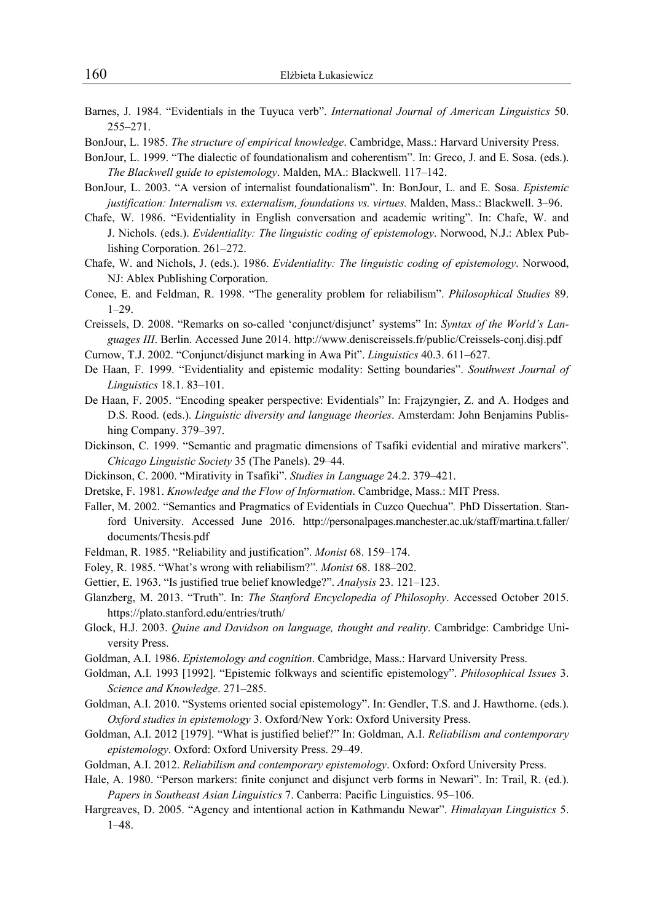- Barnes, J. 1984. "Evidentials in the Tuyuca verb". *International Journal of American Linguistics* 50. 255–271.
- BonJour, L. 1985. *The structure of empirical knowledge*. Cambridge, Mass.: Harvard University Press.
- BonJour, L. 1999. "The dialectic of foundationalism and coherentism". In: Greco, J. and E. Sosa. (eds.). *The Blackwell guide to epistemology*. Malden, MA.: Blackwell. 117–142.
- BonJour, L. 2003. "A version of internalist foundationalism". In: BonJour, L. and E. Sosa. *Epistemic justification: Internalism vs. externalism, foundations vs. virtues.* Malden, Mass.: Blackwell. 3–96.
- Chafe, W. 1986. "Evidentiality in English conversation and academic writing". In: Chafe, W. and J. Nichols. (eds.). *Evidentiality: The linguistic coding of epistemology*. Norwood, N.J.: Ablex Publishing Corporation. 261–272.
- Chafe, W. and Nichols, J. (eds.). 1986. *Evidentiality: The linguistic coding of epistemology*. Norwood, NJ: Ablex Publishing Corporation.
- Conee, E. and Feldman, R. 1998. "The generality problem for reliabilism". *Philosophical Studies* 89. 1–29.
- Creissels, D. 2008. "Remarks on so-called 'conjunct/disjunct' systems" In: *Syntax of the World's Languages III*. Berlin. Accessed June 2014. http://www.deniscreissels.fr/public/Creissels-conj.disj.pdf
- Curnow, T.J. 2002. "Conjunct/disjunct marking in Awa Pit". *Linguistics* 40.3. 611–627.
- De Haan, F. 1999. "Evidentiality and epistemic modality: Setting boundaries". *Southwest Journal of Linguistics* 18.1. 83–101.
- De Haan, F. 2005. "Encoding speaker perspective: Evidentials" In: Frajzyngier, Z. and A. Hodges and D.S. Rood. (eds.). *Linguistic diversity and language theories*. Amsterdam: John Benjamins Publishing Company. 379–397.
- Dickinson, C. 1999. "Semantic and pragmatic dimensions of Tsafiki evidential and mirative markers". *Chicago Linguistic Society* 35 (The Panels). 29–44.
- Dickinson, C. 2000. "Mirativity in Tsafiki". *Studies in Language* 24.2. 379–421.
- Dretske, F. 1981. *Knowledge and the Flow of Information*. Cambridge, Mass.: MIT Press.
- Faller, M. 2002. "Semantics and Pragmatics of Evidentials in Cuzco Quechua"*.* PhD Dissertation. Stanford University. Accessed June 2016. http://personalpages.manchester.ac.uk/staff/martina.t.faller/ documents/Thesis.pdf
- Feldman, R. 1985. "Reliability and justification". *Monist* 68. 159–174.
- Foley, R. 1985. "What's wrong with reliabilism?". *Monist* 68. 188–202.
- Gettier, E. 1963. "Is justified true belief knowledge?". *Analysis* 23. 121–123.
- Glanzberg, M. 2013. "Truth". In: *The Stanford Encyclopedia of Philosophy*. Accessed October 2015. https://plato.stanford.edu/entries/truth/
- Glock, H.J. 2003. *Quine and Davidson on language, thought and reality*. Cambridge: Cambridge University Press.
- Goldman, A.I. 1986. *Epistemology and cognition*. Cambridge, Mass.: Harvard University Press.
- Goldman, A.I. 1993 [1992]. "Epistemic folkways and scientific epistemology". *Philosophical Issues* 3. *Science and Knowledge*. 271–285.
- Goldman, A.I. 2010. "Systems oriented social epistemology". In: Gendler, T.S. and J. Hawthorne. (eds.). *Oxford studies in epistemology* 3. Oxford/New York: Oxford University Press.
- Goldman, A.I. 2012 [1979]. "What is justified belief?" In: Goldman, A.I. *Reliabilism and contemporary epistemology*. Oxford: Oxford University Press. 29–49.
- Goldman, A.I. 2012. *Reliabilism and contemporary epistemology*. Oxford: Oxford University Press.
- Hale, A. 1980. "Person markers: finite conjunct and disjunct verb forms in Newari". In: Trail, R. (ed.). *Papers in Southeast Asian Linguistics* 7. Canberra: Pacific Linguistics. 95–106.
- Hargreaves, D. 2005. "Agency and intentional action in Kathmandu Newar". *Himalayan Linguistics* 5. 1–48.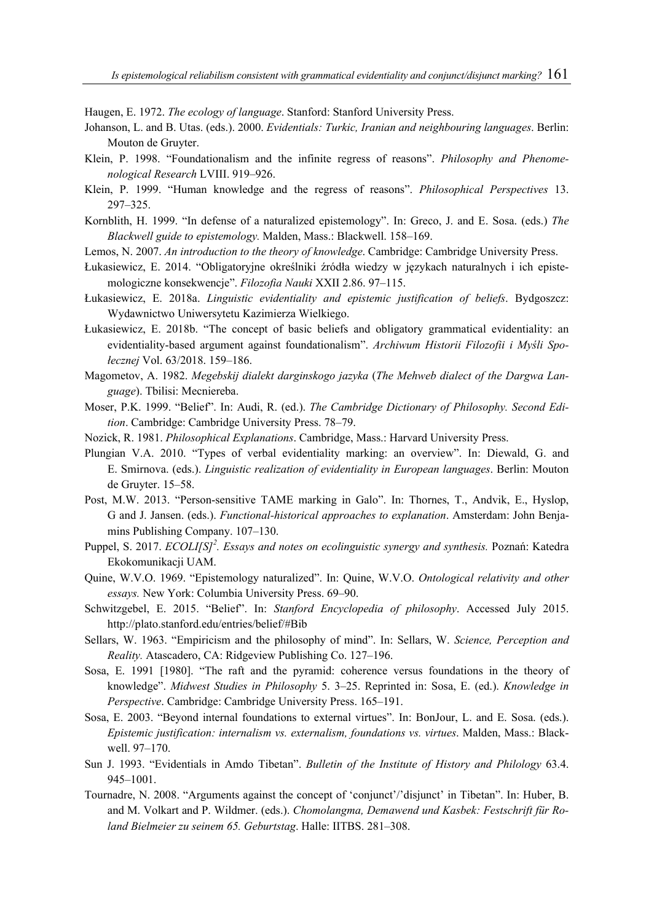Haugen, E. 1972. *The ecology of language*. Stanford: Stanford University Press.

- Johanson, L. and B. Utas. (eds.). 2000. *Evidentials: Turkic, Iranian and neighbouring languages*. Berlin: Mouton de Gruyter.
- Klein, P. 1998. "Foundationalism and the infinite regress of reasons". *Philosophy and Phenomenological Research* LVIII. 919–926.
- Klein, P. 1999. "Human knowledge and the regress of reasons". *Philosophical Perspectives* 13. 297–325.
- Kornblith, H. 1999. "In defense of a naturalized epistemology". In: Greco, J. and E. Sosa. (eds.) *The Blackwell guide to epistemology.* Malden, Mass.: Blackwell. 158–169.
- Lemos, N. 2007. *An introduction to the theory of knowledge*. Cambridge: Cambridge University Press.
- Łukasiewicz, E. 2014. "Obligatoryjne określniki źródła wiedzy w językach naturalnych i ich epistemologiczne konsekwencje". *Filozofia Nauki* XXII 2.86. 97–115.
- Łukasiewicz, E. 2018a. *Linguistic evidentiality and epistemic justification of beliefs*. Bydgoszcz: Wydawnictwo Uniwersytetu Kazimierza Wielkiego.
- Łukasiewicz, E. 2018b. "The concept of basic beliefs and obligatory grammatical evidentiality: an evidentiality-based argument against foundationalism". *Archiwum Historii Filozofii i Myśli Społecznej* Vol. 63/2018. 159–186.
- Magometov, A. 1982. *Megebskij dialekt darginskogo jazyka* (*The Mehweb dialect of the Dargwa Language*). Tbilisi: Mecniereba.
- Moser, P.K. 1999. "Belief". In: Audi, R. (ed.). *The Cambridge Dictionary of Philosophy. Second Edition*. Cambridge: Cambridge University Press. 78–79.
- Nozick, R. 1981. *Philosophical Explanations*. Cambridge, Mass.: Harvard University Press.
- Plungian V.A. 2010. "Types of verbal evidentiality marking: an overview". In: Diewald, G. and E. Smirnova. (eds.). *Linguistic realization of evidentiality in European languages*. Berlin: Mouton de Gruyter. 15–58.
- Post, M.W. 2013. "Person-sensitive TAME marking in Galo". In: Thornes, T., Andvik, E., Hyslop, G and J. Jansen. (eds.). *Functional-historical approaches to explanation*. Amsterdam: John Benjamins Publishing Company. 107–130.
- Puppel, S. 2017. *ECOLI[S]<sup>2</sup> . Essays and notes on ecolinguistic synergy and synthesis.* Poznań: Katedra Ekokomunikacji UAM.
- Quine, W.V.O. 1969. "Epistemology naturalized". In: Quine, W.V.O. *Ontological relativity and other essays.* New York: Columbia University Press. 69–90.
- Schwitzgebel, E. 2015. "Belief". In: *Stanford Encyclopedia of philosophy*. Accessed July 2015. http://plato.stanford.edu/entries/belief/#Bib
- Sellars, W. 1963. "Empiricism and the philosophy of mind". In: Sellars, W. *Science, Perception and Reality.* Atascadero, CA: Ridgeview Publishing Co. 127–196.
- Sosa, E. 1991 [1980]. "The raft and the pyramid: coherence versus foundations in the theory of knowledge". *Midwest Studies in Philosophy* 5. 3–25. Reprinted in: Sosa, E. (ed.). *Knowledge in Perspective*. Cambridge: Cambridge University Press. 165–191.
- Sosa, E. 2003. "Beyond internal foundations to external virtues". In: BonJour, L. and E. Sosa. (eds.). *Epistemic justification: internalism vs. externalism, foundations vs. virtues*. Malden, Mass.: Blackwell. 97–170.
- Sun J. 1993. "Evidentials in Amdo Tibetan". *Bulletin of the Institute of History and Philology* 63.4. 945–1001.
- Tournadre, N. 2008. "Arguments against the concept of 'conjunct'/'disjunct' in Tibetan". In: Huber, B. and M. Volkart and P. Wildmer. (eds.). *Chomolangma, Demawend und Kasbek: Festschrift für Roland Bielmeier zu seinem 65. Geburtstag*. Halle: IITBS. 281–308.